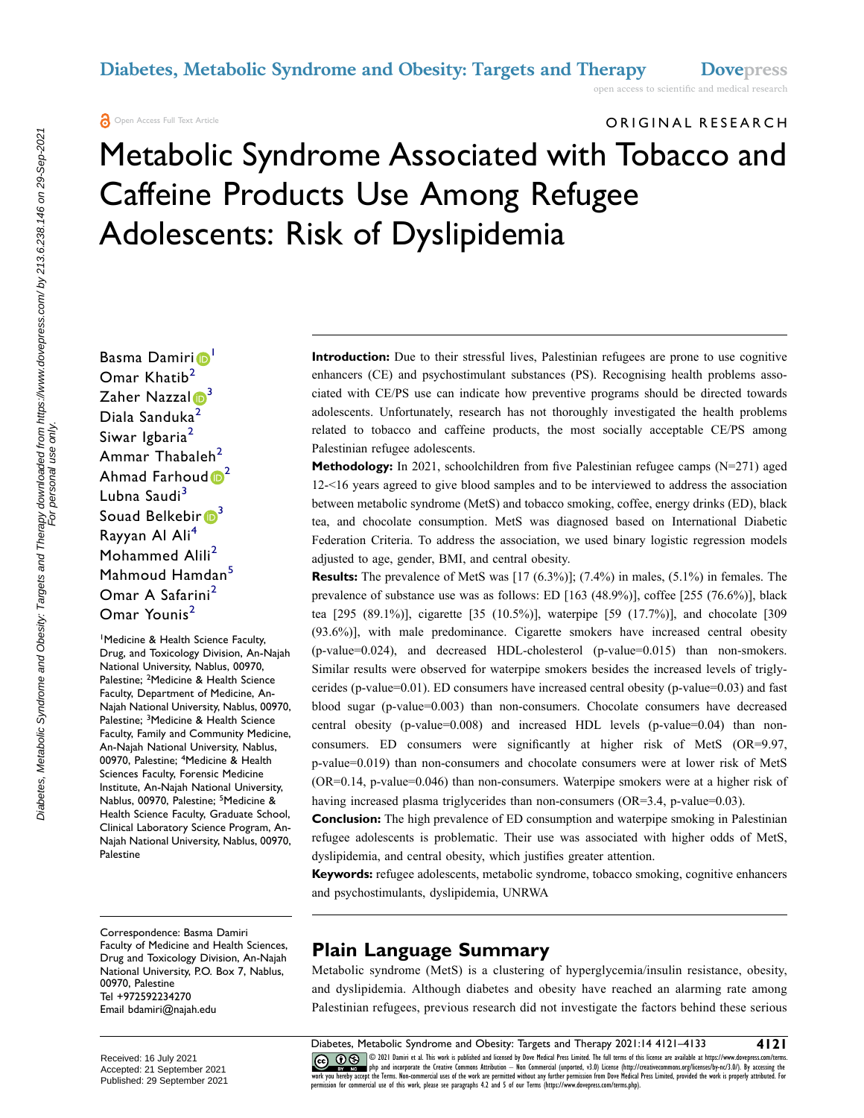open access to scientific and medical research

Open Access Full Text Article

# ORIGINAL RESEARCH

# Metabolic Syndrome Associated with Tobacco and Caffeine Products Use Among Refugee Adolescents: Risk of Dyslipidemia

Basma Damiri<sup>o</sup> Omar Khatib<sup>2</sup> Zaher Nazzal $\mathbf{B}^3$  $\mathbf{B}^3$ Diala Sanduka<sup>2</sup> Siwar Igbaria<sup>2</sup> Ammar Thabaleh<sup>[2](#page-0-1)</sup> Ahmad Farhoud  $\mathbb{D}^2$ Lubna Saudi<sup>[3](#page-0-2)</sup> Souad Belkebir  $\mathbb{D}^3$ Rayyan Al Ali<sup>[4](#page-0-3)</sup> Mohammed Alili<sup>[2](#page-0-1)</sup> Mahmoud Hamdan<sup>[5](#page-0-4)</sup> Omar A Safarini<sup>[2](#page-0-1)</sup> Omar Younis<sup>[2](#page-0-1)</sup>

<span id="page-0-3"></span><span id="page-0-2"></span><span id="page-0-1"></span><span id="page-0-0"></span>1 Medicine & Health Science Faculty, Drug, and Toxicology Division, An-Najah National University, Nablus, 00970, Palestine; <sup>2</sup>Medicine & Health Science Faculty, Department of Medicine, An-Najah National University, Nablus, 00970, Palestine; <sup>3</sup>Medicine & Health Science Faculty, Family and Community Medicine, An-Najah National University, Nablus, 00970, Palestine; <sup>4</sup>Medicine & Health Sciences Faculty, Forensic Medicine Institute, An-Najah National University, Nablus, 00970, Palestine; <sup>5</sup>Medicine & Health Science Faculty, Graduate School, Clinical Laboratory Science Program, An-Najah National University, Nablus, 00970, Palestine

<span id="page-0-4"></span>Correspondence: Basma Damiri Faculty of Medicine and Health Sciences, Drug and Toxicology Division, An-Najah National University, P.O. Box 7, Nablus, 00970, Palestine Tel +972592234270 Email [bdamiri@najah.edu](mailto:bdamiri@najah.edu)

**Introduction:** Due to their stressful lives, Palestinian refugees are prone to use cognitive enhancers (CE) and psychostimulant substances (PS). Recognising health problems associated with CE/PS use can indicate how preventive programs should be directed towards adolescents. Unfortunately, research has not thoroughly investigated the health problems related to tobacco and caffeine products, the most socially acceptable CE/PS among Palestinian refugee adolescents.

**Methodology:** In 2021, schoolchildren from five Palestinian refugee camps (N=271) aged 12-<16 years agreed to give blood samples and to be interviewed to address the association between metabolic syndrome (MetS) and tobacco smoking, coffee, energy drinks (ED), black tea, and chocolate consumption. MetS was diagnosed based on International Diabetic Federation Criteria. To address the association, we used binary logistic regression models adjusted to age, gender, BMI, and central obesity.

**Results:** The prevalence of MetS was [17 (6.3%)]; (7.4%) in males, (5.1%) in females. The prevalence of substance use was as follows: ED [163 (48.9%)], coffee [255 (76.6%)], black tea [295 (89.1%)], cigarette [35 (10.5%)], waterpipe [59 (17.7%)], and chocolate [309 (93.6%)], with male predominance. Cigarette smokers have increased central obesity (p-value=0.024), and decreased HDL-cholesterol (p-value=0.015) than non-smokers. Similar results were observed for waterpipe smokers besides the increased levels of triglycerides (p-value=0.01). ED consumers have increased central obesity (p-value=0.03) and fast blood sugar (p-value=0.003) than non-consumers. Chocolate consumers have decreased central obesity (p-value=0.008) and increased HDL levels (p-value=0.04) than nonconsumers. ED consumers were significantly at higher risk of MetS (OR=9.97, p-value=0.019) than non-consumers and chocolate consumers were at lower risk of MetS (OR=0.14, p-value=0.046) than non-consumers. Waterpipe smokers were at a higher risk of having increased plasma triglycerides than non-consumers (OR=3.4, p-value=0.03).

**Conclusion:** The high prevalence of ED consumption and waterpipe smoking in Palestinian refugee adolescents is problematic. Their use was associated with higher odds of MetS, dyslipidemia, and central obesity, which justifies greater attention.

**Keywords:** refugee adolescents, metabolic syndrome, tobacco smoking, cognitive enhancers and psychostimulants, dyslipidemia, UNRWA

#### **Plain Language Summary**

Metabolic syndrome (MetS) is a clustering of hyperglycemia/insulin resistance, obesity, and dyslipidemia. Although diabetes and obesity have reached an alarming rate among Palestinian refugees, previous research did not investigate the factors behind these serious

CO OD SUP Damiri et al. This work is published and licensed by Dove Medical Press Limited. The full terms of this license are available at https://www.dovepress.com/terms.<br>work you hereby accept the Terms. Non-commercial u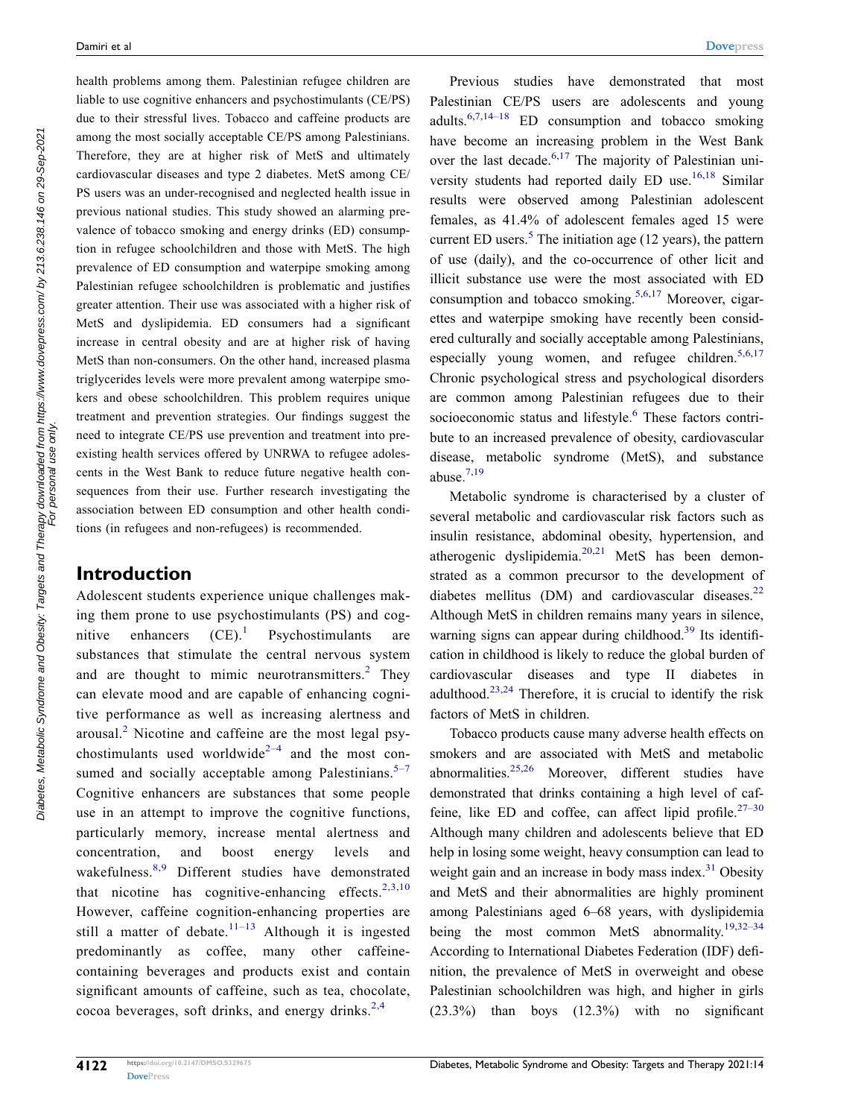health problems among them. Palestinian refugee children are liable to use cognitive enhancers and psychostimulants (CE/PS) due to their stressful lives. Tobacco and caffeine products are among the most socially acceptable CE/PS among Palestinians. Therefore, they are at higher risk of MetS and ultimately cardiovascular diseases and type 2 diabetes. MetS among CE/ PS users was an under-recognised and neglected health issue in previous national studies. This study showed an alarming prevalence of tobacco smoking and energy drinks (ED) consumption in refugee schoolchildren and those with MetS. The high prevalence of ED consumption and waterpipe smoking among Palestinian refugee schoolchildren is problematic and justifies greater attention. Their use was associated with a higher risk of MetS and dyslipidemia. ED consumers had a significant increase in central obesity and are at higher risk of having MetS than non-consumers. On the other hand, increased plasma triglycerides levels were more prevalent among waterpipe smokers and obese schoolchildren. This problem requires unique treatment and prevention strategies. Our findings suggest the need to integrate CE/PS use prevention and treatment into preexisting health services offered by UNRWA to refugee adolescents in the West Bank to reduce future negative health consequences from their use. Further research investigating the association between ED consumption and other health conditions (in refugees and non-refugees) is recommended.

#### **Introduction**

<span id="page-1-7"></span><span id="page-1-6"></span><span id="page-1-2"></span><span id="page-1-1"></span><span id="page-1-0"></span>Adolescent students experience unique challenges making them prone to use psychostimulants (PS) and cognitive enhancers  $(CE)^1$  Psychostimulants are substances that stimulate the central nervous system and are thought to mimic neurotransmitters. $2$  They can elevate mood and are capable of enhancing cognitive performance as well as increasing alertness and arousal.[2](#page-10-1) Nicotine and caffeine are the most legal psychostimulants used worldwide<sup>2-4</sup> and the most consumed and socially acceptable among Palestinians. $5-7$ Cognitive enhancers are substances that some people use in an attempt to improve the cognitive functions, particularly memory, increase mental alertness and concentration, and boost energy levels and wakefulness.[8](#page-10-3)[,9](#page-10-4) Different studies have demonstrated that nicotine has cognitive-enhancing effects.<sup>[2,](#page-10-1)[3,](#page-10-5)10</sup> However, caffeine cognition-enhancing properties are still a matter of debate.<sup>11–13</sup> Although it is ingested predominantly as coffee, many other caffeinecontaining beverages and products exist and contain significant amounts of caffeine, such as tea, chocolate, cocoa beverages, soft drinks, and energy drinks. $2,4$  $2,4$  $2,4$ 

<span id="page-1-9"></span><span id="page-1-8"></span>Previous studies have demonstrated that most Palestinian CE/PS users are adolescents and young adults[.6,](#page-10-9)[7](#page-10-10)[,14–18](#page-10-11) ED consumption and tobacco smoking have become an increasing problem in the West Bank over the last decade.<sup>[6](#page-10-9),17</sup> The majority of Palestinian uni-versity students had reported daily ED use.<sup>[16,](#page-10-13)[18](#page-10-14)</sup> Similar results were observed among Palestinian adolescent females, as 41.4% of adolescent females aged 15 were current ED users. $5$  The initiation age (12 years), the pattern of use (daily), and the co-occurrence of other licit and illicit substance use were the most associated with ED consumption and tobacco smoking.<sup>[5](#page-10-2),[6](#page-10-9)[,17](#page-10-12)</sup> Moreover, cigarettes and waterpipe smoking have recently been considered culturally and socially acceptable among Palestinians, especially young women, and refugee children. $5,6,17$  $5,6,17$  $5,6,17$  $5,6,17$ Chronic psychological stress and psychological disorders are common among Palestinian refugees due to their socioeconomic status and lifestyle.<sup>6</sup> These factors contribute to an increased prevalence of obesity, cardiovascular disease, metabolic syndrome (MetS), and substance abuse $^{7,19}$  $^{7,19}$  $^{7,19}$  $^{7,19}$ 

<span id="page-1-12"></span><span id="page-1-11"></span><span id="page-1-5"></span><span id="page-1-4"></span><span id="page-1-3"></span>Metabolic syndrome is characterised by a cluster of several metabolic and cardiovascular risk factors such as insulin resistance, abdominal obesity, hypertension, and atherogenic dyslipidemia.[20,](#page-10-16)[21](#page-10-17) MetS has been demonstrated as a common precursor to the development of diabetes mellitus (DM) and cardiovascular diseases. $22$ Although MetS in children remains many years in silence, warning signs can appear during childhood.<sup>39</sup> Its identification in childhood is likely to reduce the global burden of cardiovascular diseases and type II diabetes in adulthood[.23,](#page-10-19)[24](#page-11-1) Therefore, it is crucial to identify the risk factors of MetS in children.

<span id="page-1-18"></span><span id="page-1-17"></span><span id="page-1-16"></span><span id="page-1-15"></span><span id="page-1-14"></span><span id="page-1-13"></span><span id="page-1-10"></span>Tobacco products cause many adverse health effects on smokers and are associated with MetS and metabolic abnormalities.[25](#page-11-2)[,26](#page-11-3) Moreover, different studies have demonstrated that drinks containing a high level of caf-feine, like ED and coffee, can affect lipid profile.<sup>[27–30](#page-11-4)</sup> Although many children and adolescents believe that ED help in losing some weight, heavy consumption can lead to weight gain and an increase in body mass index.<sup>31</sup> Obesity and MetS and their abnormalities are highly prominent among Palestinians aged 6–68 years, with dyslipidemia being the most common MetS abnormality.<sup>19,[32–34](#page-11-6)</sup> According to International Diabetes Federation (IDF) definition, the prevalence of MetS in overweight and obese Palestinian schoolchildren was high, and higher in girls (23.3%) than boys (12.3%) with no significant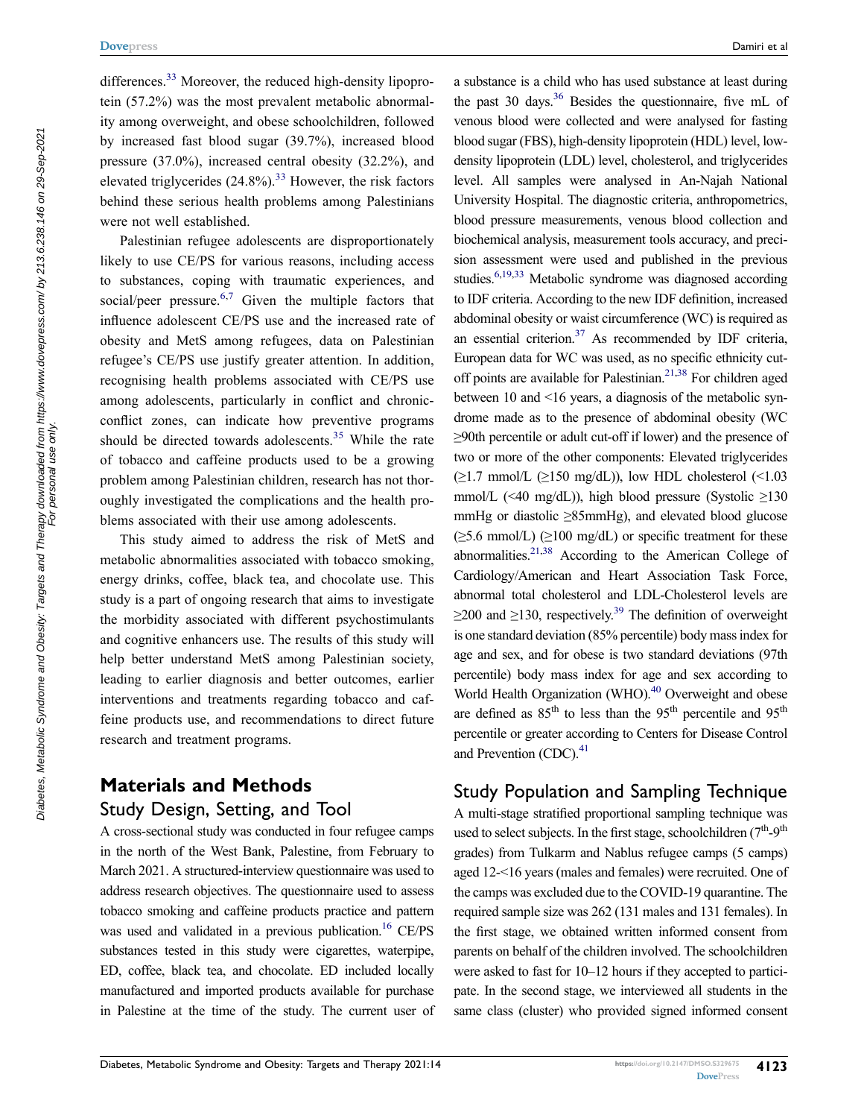differences.<sup>[33](#page-11-7)</sup> Moreover, the reduced high-density lipoprotein (57.2%) was the most prevalent metabolic abnormality among overweight, and obese schoolchildren, followed by increased fast blood sugar (39.7%), increased blood pressure (37.0%), increased central obesity (32.2%), and elevated triglycerides  $(24.8\%)$ .<sup>33</sup> However, the risk factors behind these serious health problems among Palestinians were not well established.

Palestinian refugee adolescents are disproportionately likely to use CE/PS for various reasons, including access to substances, coping with traumatic experiences, and social/peer pressure.<sup>[6,](#page-10-9)[7](#page-10-10)</sup> Given the multiple factors that influence adolescent CE/PS use and the increased rate of obesity and MetS among refugees, data on Palestinian refugee's CE/PS use justify greater attention. In addition, recognising health problems associated with CE/PS use among adolescents, particularly in conflict and chronicconflict zones, can indicate how preventive programs should be directed towards adolescents.<sup>35</sup> While the rate of tobacco and caffeine products used to be a growing problem among Palestinian children, research has not thoroughly investigated the complications and the health problems associated with their use among adolescents.

<span id="page-2-0"></span>This study aimed to address the risk of MetS and metabolic abnormalities associated with tobacco smoking, energy drinks, coffee, black tea, and chocolate use. This study is a part of ongoing research that aims to investigate the morbidity associated with different psychostimulants and cognitive enhancers use. The results of this study will help better understand MetS among Palestinian society, leading to earlier diagnosis and better outcomes, earlier interventions and treatments regarding tobacco and caffeine products use, and recommendations to direct future research and treatment programs.

# **Materials and Methods** Study Design, Setting, and Tool

A cross-sectional study was conducted in four refugee camps in the north of the West Bank, Palestine, from February to March 2021. A structured-interview questionnaire was used to address research objectives. The questionnaire used to assess tobacco smoking and caffeine products practice and pattern was used and validated in a previous publication.<sup>16</sup> CE/PS substances tested in this study were cigarettes, waterpipe, ED, coffee, black tea, and chocolate. ED included locally manufactured and imported products available for purchase in Palestine at the time of the study. The current user of

<span id="page-2-2"></span><span id="page-2-1"></span>a substance is a child who has used substance at least during the past 30 days. $36$  Besides the questionnaire, five mL of venous blood were collected and were analysed for fasting blood sugar (FBS), high-density lipoprotein (HDL) level, lowdensity lipoprotein (LDL) level, cholesterol, and triglycerides level. All samples were analysed in An-Najah National University Hospital. The diagnostic criteria, anthropometrics, blood pressure measurements, venous blood collection and biochemical analysis, measurement tools accuracy, and precision assessment were used and published in the previous studies.<sup>6,[19](#page-10-15),33</sup> Metabolic syndrome was diagnosed according to IDF criteria. According to the new IDF definition, increased abdominal obesity or waist circumference (WC) is required as an essential criterion. $37$  As recommended by IDF criteria, European data for WC was used, as no specific ethnicity cut-off points are available for Palestinian.<sup>21[,38](#page-11-11)</sup> For children aged between 10 and <16 years, a diagnosis of the metabolic syndrome made as to the presence of abdominal obesity (WC ≥90th percentile or adult cut-off if lower) and the presence of two or more of the other components: Elevated triglycerides  $(\geq 1.7 \text{ mmol/L } (\geq 150 \text{ mg/dL}))$ , low HDL cholesterol (<1.03) mmol/L (<40 mg/dL)), high blood pressure (Systolic  $\geq$ 130 mmHg or diastolic ≥85mmHg), and elevated blood glucose  $(\geq 5.6 \text{ mmol/L})$  ( $\geq 100 \text{ mg/dL}$ ) or specific treatment for these abnormalities.<sup>21,38</sup> According to the American College of Cardiology/American and Heart Association Task Force, abnormal total cholesterol and LDL-Cholesterol levels are  $\geq$ 200 and  $\geq$ 130, respectively.<sup>39</sup> The definition of overweight is one standard deviation (85% percentile) body mass index for age and sex, and for obese is two standard deviations (97th percentile) body mass index for age and sex according to World Health Organization (WHO).<sup>40</sup> Overweight and obese are defined as  $85<sup>th</sup>$  to less than the 95<sup>th</sup> percentile and 95<sup>th</sup> percentile or greater according to Centers for Disease Control and Prevention  $(CDC)^{41}$ 

#### <span id="page-2-5"></span><span id="page-2-4"></span><span id="page-2-3"></span>Study Population and Sampling Technique

A multi-stage stratified proportional sampling technique was used to select subjects. In the first stage, schoolchildren  $(7<sup>th</sup>-9<sup>th</sup>)$ grades) from Tulkarm and Nablus refugee camps (5 camps) aged 12-<16 years (males and females) were recruited. One of the camps was excluded due to the COVID-19 quarantine. The required sample size was 262 (131 males and 131 females). In the first stage, we obtained written informed consent from parents on behalf of the children involved. The schoolchildren were asked to fast for 10–12 hours if they accepted to participate. In the second stage, we interviewed all students in the same class (cluster) who provided signed informed consent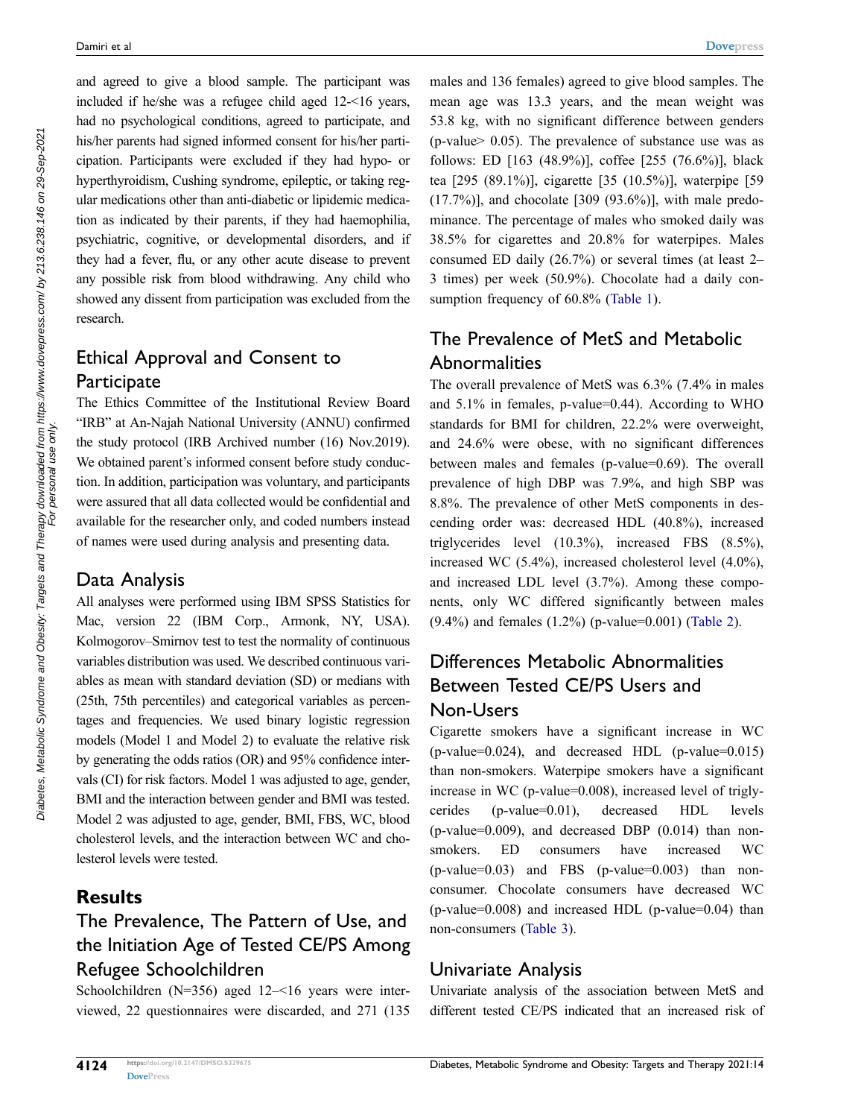and agreed to give a blood sample. The participant was included if he/she was a refugee child aged 12-<16 years, had no psychological conditions, agreed to participate, and his/her parents had signed informed consent for his/her participation. Participants were excluded if they had hypo- or hyperthyroidism, Cushing syndrome, epileptic, or taking regular medications other than anti-diabetic or lipidemic medication as indicated by their parents, if they had haemophilia, psychiatric, cognitive, or developmental disorders, and if they had a fever, flu, or any other acute disease to prevent any possible risk from blood withdrawing. Any child who showed any dissent from participation was excluded from the research.

# Ethical Approval and Consent to **Participate**

The Ethics Committee of the Institutional Review Board "IRB" at An-Najah National University (ANNU) confirmed the study protocol (IRB Archived number (16) Nov.2019). We obtained parent's informed consent before study conduction. In addition, participation was voluntary, and participants were assured that all data collected would be confidential and available for the researcher only, and coded numbers instead of names were used during analysis and presenting data.

#### Data Analysis

All analyses were performed using IBM SPSS Statistics for Mac, version 22 (IBM Corp., Armonk, NY, USA). Kolmogorov–Smirnov test to test the normality of continuous variables distribution was used. We described continuous variables as mean with standard deviation (SD) or medians with (25th, 75th percentiles) and categorical variables as percentages and frequencies. We used binary logistic regression models (Model 1 and Model 2) to evaluate the relative risk by generating the odds ratios (OR) and 95% confidence intervals (CI) for risk factors. Model 1 was adjusted to age, gender, BMI and the interaction between gender and BMI was tested. Model 2 was adjusted to age, gender, BMI, FBS, WC, blood cholesterol levels, and the interaction between WC and cholesterol levels were tested.

### **Results**

# The Prevalence, The Pattern of Use, and the Initiation Age of Tested CE/PS Among Refugee Schoolchildren

Schoolchildren (N=356) aged 12–<16 years were interviewed, 22 questionnaires were discarded, and 271 (135 males and 136 females) agreed to give blood samples. The mean age was 13.3 years, and the mean weight was 53.8 kg, with no significant difference between genders (p-value> 0.05). The prevalence of substance use was as follows: ED [163 (48.9%)], coffee [255 (76.6%)], black tea [295 (89.1%)], cigarette [35 (10.5%)], waterpipe [59  $(17.7%)$ ], and chocolate [309  $(93.6%)$ ], with male predominance. The percentage of males who smoked daily was 38.5% for cigarettes and 20.8% for waterpipes. Males consumed ED daily (26.7%) or several times (at least 2– 3 times) per week (50.9%). Chocolate had a daily con-sumption frequency of 60.8% ([Table 1](#page-4-0)).

# The Prevalence of MetS and Metabolic **Abnormalities**

The overall prevalence of MetS was 6.3% (7.4% in males and 5.1% in females, p-value=0.44). According to WHO standards for BMI for children, 22.2% were overweight, and 24.6% were obese, with no significant differences between males and females (p-value=0.69). The overall prevalence of high DBP was 7.9%, and high SBP was 8.8%. The prevalence of other MetS components in descending order was: decreased HDL (40.8%), increased triglycerides level (10.3%), increased FBS (8.5%), increased WC (5.4%), increased cholesterol level (4.0%), and increased LDL level (3.7%). Among these components, only WC differed significantly between males (9.4%) and females (1.2%) (p-value=0.001) ([Table 2](#page-5-0)).

# Differences Metabolic Abnormalities Between Tested CE/PS Users and Non-Users

Cigarette smokers have a significant increase in WC (p-value=0.024), and decreased HDL (p-value=0.015) than non-smokers. Waterpipe smokers have a significant increase in WC (p-value=0.008), increased level of triglycerides (p-value=0.01), decreased HDL levels (p-value=0.009), and decreased DBP (0.014) than nonsmokers. ED consumers have increased WC  $(p-value=0.03)$  and FBS  $(p-value=0.003)$  than nonconsumer. Chocolate consumers have decreased WC  $(p-value=0.008)$  and increased HDL  $(p-value=0.04)$  than non-consumers [\(Table 3\)](#page-6-0).

#### Univariate Analysis

Univariate analysis of the association between MetS and different tested CE/PS indicated that an increased risk of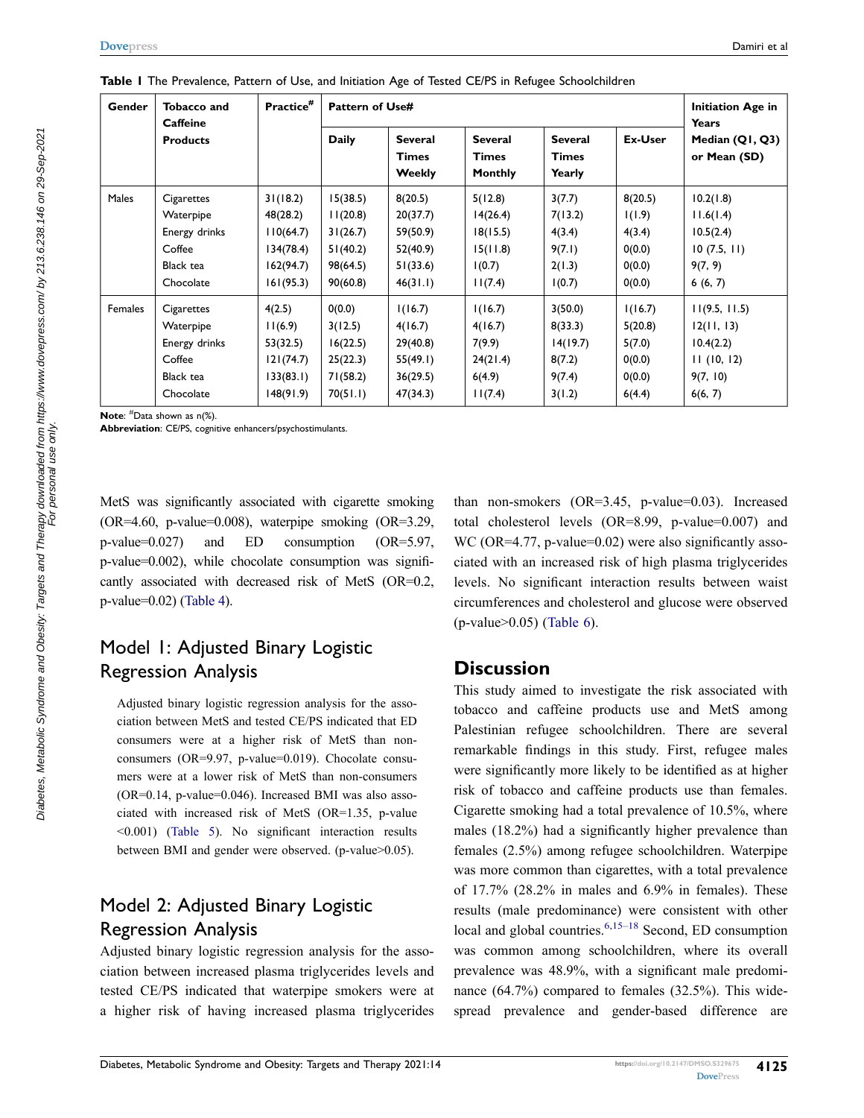| Gender         | Tobacco and<br><b>Caffeine</b> | Practice <sup>#</sup> |              | <b>Pattern of Use#</b>                          |                                                  |                                          |         |                                                 |  |
|----------------|--------------------------------|-----------------------|--------------|-------------------------------------------------|--------------------------------------------------|------------------------------------------|---------|-------------------------------------------------|--|
|                | <b>Products</b>                |                       | <b>Daily</b> | <b>Several</b><br><b>Times</b><br><b>Weekly</b> | <b>Several</b><br><b>Times</b><br><b>Monthly</b> | <b>Several</b><br><b>Times</b><br>Yearly | Ex-User | <b>Years</b><br>Median (Q1, Q3)<br>or Mean (SD) |  |
| <b>Males</b>   | Cigarettes                     | 31(18.2)              | 15(38.5)     | 8(20.5)                                         | 5(12.8)                                          | 3(7.7)                                   | 8(20.5) | 10.2(1.8)                                       |  |
|                | Waterpipe                      | 48(28.2)              | 11(20.8)     | 20(37.7)                                        | 14(26.4)                                         | 7(13.2)                                  | 1(1.9)  | 11.6(1.4)                                       |  |
|                | Energy drinks                  | 110(64.7)             | 31(26.7)     | 59(50.9)                                        | 18(15.5)                                         | 4(3.4)                                   | 4(3.4)  | 10.5(2.4)                                       |  |
|                | Coffee                         | 134(78.4)             | 51(40.2)     | 52(40.9)                                        | 15(11.8)                                         | 9(7.1)                                   | 0(0.0)  | 10(7.5, 11)                                     |  |
|                | Black tea                      | 162(94.7)             | 98(64.5)     | 51(33.6)                                        | 1(0.7)                                           | 2(1.3)                                   | 0(0.0)  | 9(7, 9)                                         |  |
|                | Chocolate                      | 161(95.3)             | 90(60.8)     | 46(31.1)                                        | 11(7.4)                                          | 1(0.7)                                   | 0(0.0)  | 6(6, 7)                                         |  |
| <b>Females</b> | Cigarettes                     | 4(2.5)                | 0(0.0)       | 1(16.7)                                         | 1(16.7)                                          | 3(50.0)                                  | 1(16.7) | 11(9.5, 11.5)                                   |  |
|                | Waterpipe                      | 11(6.9)               | 3(12.5)      | 4(16.7)                                         | 4(16.7)                                          | 8(33.3)                                  | 5(20.8) | 12(11, 13)                                      |  |
|                | Energy drinks                  | 53(32.5)              | 16(22.5)     | 29(40.8)                                        | 7(9.9)                                           | 14(19.7)                                 | 5(7.0)  | 10.4(2.2)                                       |  |
|                | Coffee                         | 121(74.7)             | 25(22.3)     | 55(49.1)                                        | 24(21.4)                                         | 8(7.2)                                   | 0(0.0)  | 11(10, 12)                                      |  |
|                | Black tea                      | 133(83.1)             | 71(58.2)     | 36(29.5)                                        | 6(4.9)                                           | 9(7.4)                                   | 0(0.0)  | 9(7, 10)                                        |  |
|                | Chocolate                      | 148(91.9)             | 70(51.1)     | 47(34.3)                                        | 11(7.4)                                          | 3(1.2)                                   | 6(4.4)  | 6(6, 7)                                         |  |

<span id="page-4-0"></span>**Table 1** The Prevalence, Pattern of Use, and Initiation Age of Tested CE/PS in Refugee Schoolchildren

**Note**: # Data shown as n(%).

**Abbreviation**: CE/PS, cognitive enhancers/psychostimulants.

MetS was significantly associated with cigarette smoking  $(OR=4.60, p-value=0.008)$ , waterpipe smoking  $(OR=3.29,$ p-value=0.027) and ED consumption (OR=5.97, p-value=0.002), while chocolate consumption was significantly associated with decreased risk of MetS (OR=0.2, p-value=0.02) [\(Table 4\)](#page-7-0).

### Model 1: Adjusted Binary Logistic Regression Analysis

Adjusted binary logistic regression analysis for the association between MetS and tested CE/PS indicated that ED consumers were at a higher risk of MetS than nonconsumers (OR=9.97, p-value=0.019). Chocolate consumers were at a lower risk of MetS than non-consumers  $(OR=0.14, p-value=0.046)$ . Increased BMI was also associated with increased risk of MetS (OR=1.35, p-value <0.001) [\(Table 5\)](#page-7-1). No significant interaction results between BMI and gender were observed. (p-value>0.05).

# Model 2: Adjusted Binary Logistic Regression Analysis

Adjusted binary logistic regression analysis for the association between increased plasma triglycerides levels and tested CE/PS indicated that waterpipe smokers were at a higher risk of having increased plasma triglycerides than non-smokers (OR=3.45, p-value=0.03). Increased total cholesterol levels (OR=8.99, p-value=0.007) and WC (OR=4.77, p-value=0.02) were also significantly associated with an increased risk of high plasma triglycerides levels. No significant interaction results between waist circumferences and cholesterol and glucose were observed (p-value>0.05) [\(Table 6\)](#page-8-0).

#### **Discussion**

<span id="page-4-1"></span>This study aimed to investigate the risk associated with tobacco and caffeine products use and MetS among Palestinian refugee schoolchildren. There are several remarkable findings in this study. First, refugee males were significantly more likely to be identified as at higher risk of tobacco and caffeine products use than females. Cigarette smoking had a total prevalence of 10.5%, where males (18.2%) had a significantly higher prevalence than females (2.5%) among refugee schoolchildren. Waterpipe was more common than cigarettes, with a total prevalence of 17.7% (28.2% in males and 6.9% in females). These results (male predominance) were consistent with other local and global countries. $6,15-18$  $6,15-18$  Second, ED consumption was common among schoolchildren, where its overall prevalence was 48.9%, with a significant male predominance (64.7%) compared to females (32.5%). This widespread prevalence and gender-based difference are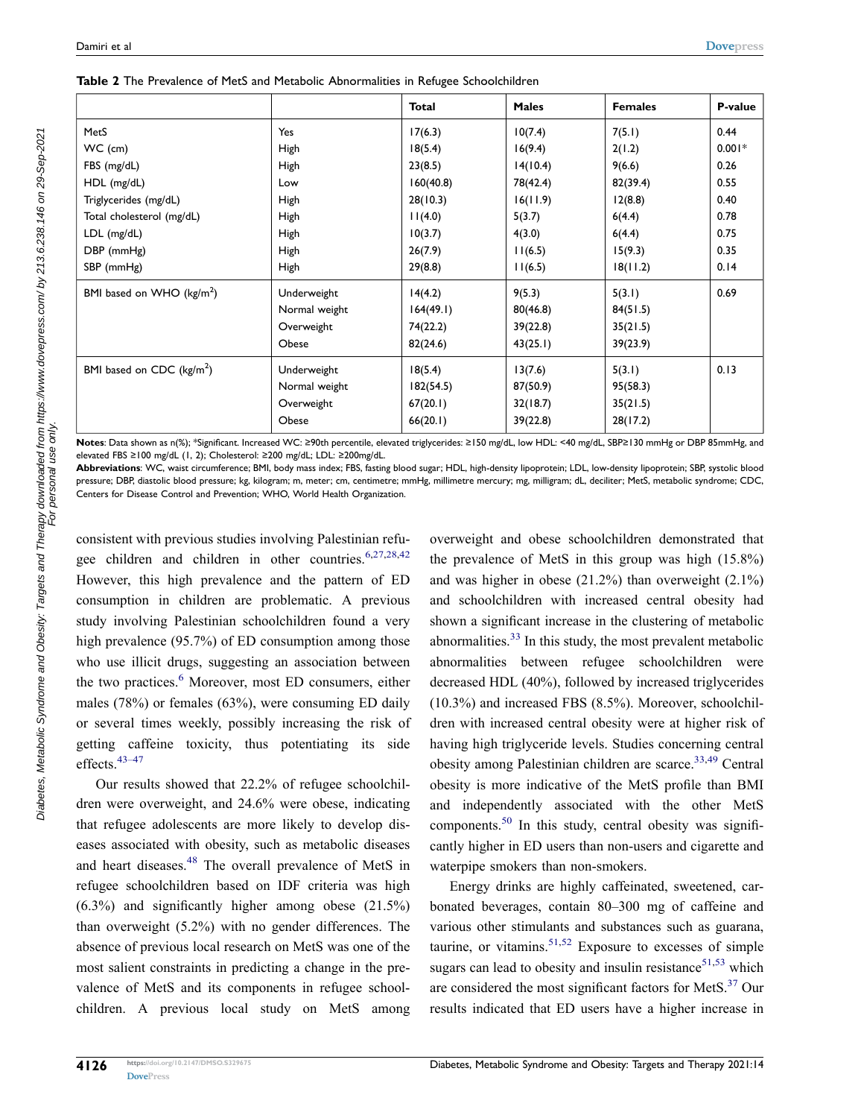<span id="page-5-0"></span>

|  |  |  |  |  |  |  |  |  | Table 2 The Prevalence of MetS and Metabolic Abnormalities in Refugee Schoolchildren |
|--|--|--|--|--|--|--|--|--|--------------------------------------------------------------------------------------|
|--|--|--|--|--|--|--|--|--|--------------------------------------------------------------------------------------|

|                              |               | <b>Total</b> | <b>Males</b> | <b>Females</b> | P-value  |
|------------------------------|---------------|--------------|--------------|----------------|----------|
| MetS                         | Yes           | 17(6.3)      | 10(7.4)      | 7(5.1)         | 0.44     |
| WC (cm)                      | High          | 18(5.4)      | 16(9.4)      | 2(1.2)         | $0.001*$ |
| FBS (mg/dL)                  | High          | 23(8.5)      | 14(10.4)     | 9(6.6)         | 0.26     |
| HDL (mg/dL)                  | Low           | 160(40.8)    | 78(42.4)     | 82(39.4)       | 0.55     |
| Triglycerides (mg/dL)        | High          | 28(10.3)     | 16(11.9)     | 12(8.8)        | 0.40     |
| Total cholesterol (mg/dL)    | High          | 11(4.0)      | 5(3.7)       | 6(4.4)         | 0.78     |
| LDL (mg/dL)                  | High          | 10(3.7)      | 4(3.0)       | 6(4.4)         | 0.75     |
| DBP (mmHg)                   | High          | 26(7.9)      | 11(6.5)      | 15(9.3)        | 0.35     |
| SBP (mmHg)                   | <b>High</b>   | 29(8.8)      | 11(6.5)      | 18(11.2)       | 0.14     |
| BMI based on WHO ( $kg/m2$ ) | Underweight   | 14(4.2)      | 9(5.3)       | 5(3.1)         | 0.69     |
|                              | Normal weight | 164(49.1)    | 80(46.8)     | 84(51.5)       |          |
|                              | Overweight    | 74(22.2)     | 39(22.8)     | 35(21.5)       |          |
|                              | Obese         | 82(24.6)     | 43(25.1)     | 39(23.9)       |          |
| BMI based on CDC ( $kg/m2$ ) | Underweight   | 18(5.4)      | 13(7.6)      | 5(3.1)         | 0.13     |
|                              | Normal weight | 182(54.5)    | 87(50.9)     | 95(58.3)       |          |
|                              | Overweight    | 67(20.1)     | 32(18.7)     | 35(21.5)       |          |
|                              | Obese         | 66(20.1)     | 39(22.8)     | 28(17.2)       |          |

**Notes**: Data shown as n(%); \*Significant. Increased WC: ≥90th percentile, elevated triglycerides: ≥150 mg/dL, low HDL: <40 mg/dL, SBP≥130 mmHg or DBP 85mmHg, and elevated FBS ≥100 mg/dL (1, 2); Cholesterol: ≥200 mg/dL; LDL: ≥200mg/dL.

**Abbreviations**: WC, waist circumference; BMI, body mass index; FBS, fasting blood sugar; HDL, high-density lipoprotein; LDL, low-density lipoprotein; SBP, systolic blood pressure; DBP, diastolic blood pressure; kg, kilogram; m, meter; cm, centimetre; mmHg, millimetre mercury; mg, milligram; dL, deciliter; MetS, metabolic syndrome; CDC, Centers for Disease Control and Prevention; WHO, World Health Organization.

<span id="page-5-1"></span>consistent with previous studies involving Palestinian refugee children and children in other countries.  $6,27,28,42$  $6,27,28,42$  $6,27,28,42$  $6,27,28,42$ However, this high prevalence and the pattern of ED consumption in children are problematic. A previous study involving Palestinian schoolchildren found a very high prevalence (95.7%) of ED consumption among those who use illicit drugs, suggesting an association between the two practices.<sup>[6](#page-10-9)</sup> Moreover, most ED consumers, either males (78%) or females (63%), were consuming ED daily or several times weekly, possibly increasing the risk of getting caffeine toxicity, thus potentiating its side effects.<sup>43–47</sup>

<span id="page-5-3"></span><span id="page-5-2"></span>Our results showed that 22.2% of refugee schoolchildren were overweight, and 24.6% were obese, indicating that refugee adolescents are more likely to develop diseases associated with obesity, such as metabolic diseases and heart diseases.<sup>48</sup> The overall prevalence of MetS in refugee schoolchildren based on IDF criteria was high (6.3%) and significantly higher among obese (21.5%) than overweight (5.2%) with no gender differences. The absence of previous local research on MetS was one of the most salient constraints in predicting a change in the prevalence of MetS and its components in refugee schoolchildren. A previous local study on MetS among overweight and obese schoolchildren demonstrated that the prevalence of MetS in this group was high (15.8%) and was higher in obese  $(21.2\%)$  than overweight  $(2.1\%)$ and schoolchildren with increased central obesity had shown a significant increase in the clustering of metabolic abnormalities.[33](#page-11-7) In this study, the most prevalent metabolic abnormalities between refugee schoolchildren were decreased HDL (40%), followed by increased triglycerides (10.3%) and increased FBS (8.5%). Moreover, schoolchildren with increased central obesity were at higher risk of having high triglyceride levels. Studies concerning central obesity among Palestinian children are scarce. $33,49$  Central obesity is more indicative of the MetS profile than BMI and independently associated with the other MetS components.<sup>[50](#page-11-19)</sup> In this study, central obesity was significantly higher in ED users than non-users and cigarette and waterpipe smokers than non-smokers.

<span id="page-5-7"></span><span id="page-5-6"></span><span id="page-5-5"></span><span id="page-5-4"></span>Energy drinks are highly caffeinated, sweetened, carbonated beverages, contain 80–300 mg of caffeine and various other stimulants and substances such as guarana, taurine, or vitamins.<sup>[51](#page-11-20),52</sup> Exposure to excesses of simple sugars can lead to obesity and insulin resistance $51,53$  $51,53$  which are considered the most significant factors for MetS.<sup>[37](#page-11-10)</sup> Our results indicated that ED users have a higher increase in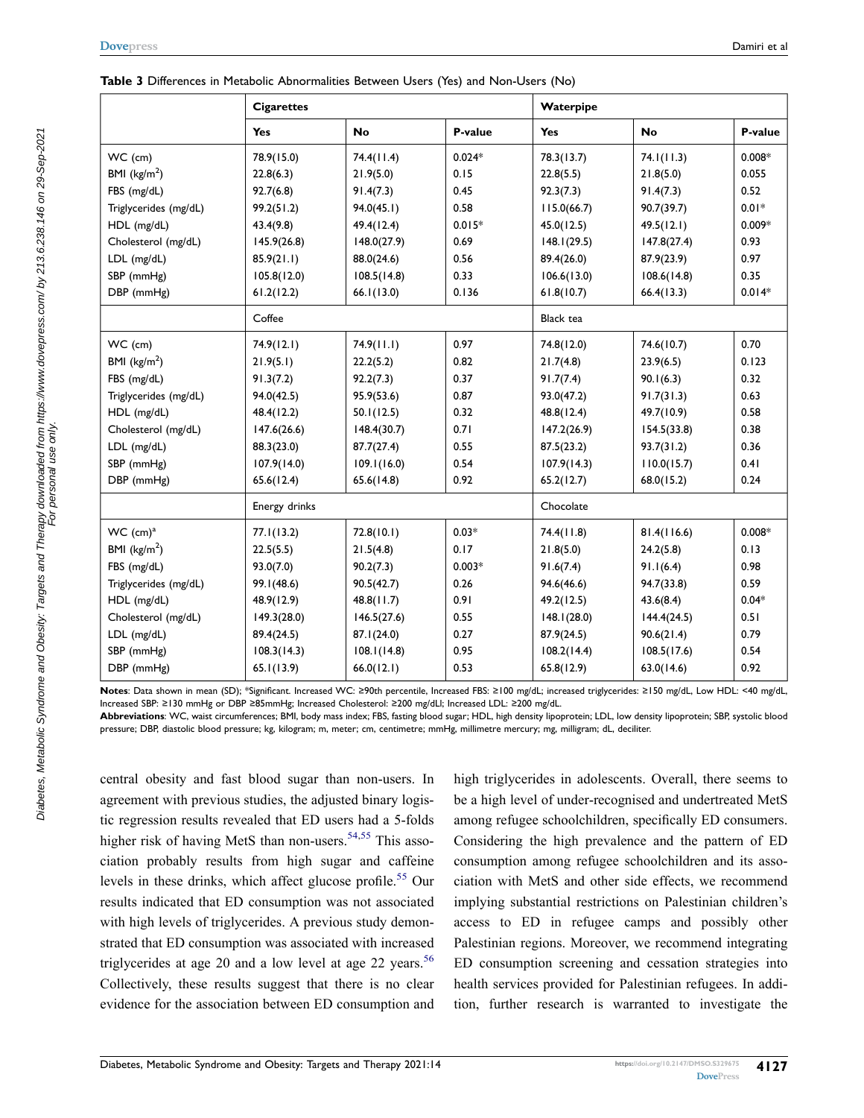|                         | <b>Cigarettes</b> |             |          | Waterpipe        |             |          |
|-------------------------|-------------------|-------------|----------|------------------|-------------|----------|
|                         | Yes               | <b>No</b>   | P-value  | Yes              | <b>No</b>   | P-value  |
| WC (cm)                 | 78.9(15.0)        | 74.4(11.4)  | $0.024*$ | 78.3(13.7)       | 74.1(11.3)  | $0.008*$ |
| BMI ( $\text{kg/m}^2$ ) | 22.8(6.3)         | 21.9(5.0)   | 0.15     | 22.8(5.5)        | 21.8(5.0)   | 0.055    |
| FBS (mg/dL)             | 92.7(6.8)         | 91.4(7.3)   | 0.45     | 92.3(7.3)        | 91.4(7.3)   | 0.52     |
| Triglycerides (mg/dL)   | 99.2(51.2)        | 94.0(45.1)  | 0.58     | 115.0(66.7)      | 90.7(39.7)  | $0.01*$  |
| HDL (mg/dL)             | 43.4(9.8)         | 49.4(12.4)  | $0.015*$ | 45.0(12.5)       | 49.5(12.1)  | $0.009*$ |
| Cholesterol (mg/dL)     | 145.9(26.8)       | 148.0(27.9) | 0.69     | 148.1(29.5)      | 147.8(27.4) | 0.93     |
| LDL (mg/dL)             | 85.9(21.1)        | 88.0(24.6)  | 0.56     | 89.4(26.0)       | 87.9(23.9)  | 0.97     |
| SBP (mmHg)              | 105.8(12.0)       | 108.5(14.8) | 0.33     | 106.6(13.0)      | 108.6(14.8) | 0.35     |
| DBP (mmHg)              | 61.2(12.2)        | 66.1(13.0)  | 0.136    | 61.8(10.7)       | 66.4(13.3)  | $0.014*$ |
|                         | Coffee            |             |          | <b>Black</b> tea |             |          |
| WC (cm)                 | 74.9(12.1)        | 74.9(11.1)  | 0.97     | 74.8(12.0)       | 74.6(10.7)  | 0.70     |
| BMI $(kg/m2)$           | 21.9(5.1)         | 22.2(5.2)   | 0.82     | 21.7(4.8)        | 23.9(6.5)   | 0.123    |
| FBS (mg/dL)             | 91.3(7.2)         | 92.2(7.3)   | 0.37     | 91.7(7.4)        | 90.1(6.3)   | 0.32     |
| Triglycerides (mg/dL)   | 94.0(42.5)        | 95.9(53.6)  | 0.87     | 93.0(47.2)       | 91.7(31.3)  | 0.63     |
| HDL (mg/dL)             | 48.4(12.2)        | 50.1(12.5)  | 0.32     | 48.8(12.4)       | 49.7(10.9)  | 0.58     |
| Cholesterol (mg/dL)     | 147.6(26.6)       | 148.4(30.7) | 0.71     | 147.2(26.9)      | 154.5(33.8) | 0.38     |
| LDL (mg/dL)             | 88.3(23.0)        | 87.7(27.4)  | 0.55     | 87.5(23.2)       | 93.7(31.2)  | 0.36     |
| SBP (mmHg)              | 107.9(14.0)       | 109.1(16.0) | 0.54     | 107.9(14.3)      | 110.0(15.7) | 0.41     |
| DBP (mmHg)              | 65.6(12.4)        | 65.6(14.8)  | 0.92     | 65.2(12.7)       | 68.0(15.2)  | 0.24     |
|                         | Energy drinks     |             |          | Chocolate        |             |          |
| WC (cm) <sup>a</sup>    | 77.1(13.2)        | 72.8(10.1)  | $0.03*$  | 74.4(11.8)       | 81.4(116.6) | $0.008*$ |
| BMI ( $\text{kg/m}^2$ ) | 22.5(5.5)         | 21.5(4.8)   | 0.17     | 21.8(5.0)        | 24.2(5.8)   | 0.13     |
| FBS (mg/dL)             | 93.0(7.0)         | 90.2(7.3)   | $0.003*$ | 91.6(7.4)        | 91.1(6.4)   | 0.98     |
| Triglycerides (mg/dL)   | 99.1(48.6)        | 90.5(42.7)  | 0.26     | 94.6(46.6)       | 94.7(33.8)  | 0.59     |
| HDL (mg/dL)             | 48.9(12.9)        | 48.8(11.7)  | 0.91     | 49.2(12.5)       | 43.6(8.4)   | $0.04*$  |
| Cholesterol (mg/dL)     | 149.3(28.0)       | 146.5(27.6) | 0.55     | 148.1(28.0)      | 144.4(24.5) | 0.51     |
| LDL (mg/dL)             | 89.4(24.5)        | 87.1(24.0)  | 0.27     | 87.9(24.5)       | 90.6(21.4)  | 0.79     |
| SBP (mmHg)              | 108.3(14.3)       | 108.1(14.8) | 0.95     | 108.2(14.4)      | 108.5(17.6) | 0.54     |
| DBP (mmHg)              | 65.1(13.9)        | 66.0(12.1)  | 0.53     | 65.8(12.9)       | 63.0(14.6)  | 0.92     |

<span id="page-6-0"></span>

|  |  | Table 3 Differences in Metabolic Abnormalities Between Users (Yes) and Non-Users (No) |  |
|--|--|---------------------------------------------------------------------------------------|--|
|  |  |                                                                                       |  |

**Notes**: Data shown in mean (SD); \*Significant. Increased WC: ≥90th percentile, Increased FBS: ≥100 mg/dL; increased triglycerides: ≥150 mg/dL, Low HDL: <40 mg/dL, Increased SBP: ≥130 mmHg or DBP ≥85mmHg; Increased Cholesterol: ≥200 mg/dLl; Increased LDL: ≥200 mg/dL.

**Abbreviations**: WC, waist circumferences; BMI, body mass index; FBS, fasting blood sugar; HDL, high density lipoprotein; LDL, low density lipoprotein; SBP, systolic blood pressure; DBP, diastolic blood pressure; kg, kilogram; m, meter; cm, centimetre; mmHg, millimetre mercury; mg, milligram; dL, deciliter.

<span id="page-6-3"></span><span id="page-6-2"></span><span id="page-6-1"></span>central obesity and fast blood sugar than non-users. In agreement with previous studies, the adjusted binary logistic regression results revealed that ED users had a 5-folds higher risk of having MetS than non-users.<sup>[54,](#page-11-23)[55](#page-11-24)</sup> This association probably results from high sugar and caffeine levels in these drinks, which affect glucose profile.<sup>55</sup> Our results indicated that ED consumption was not associated with high levels of triglycerides. A previous study demonstrated that ED consumption was associated with increased triglycerides at age 20 and a low level at age 22 years.<sup>56</sup> Collectively, these results suggest that there is no clear evidence for the association between ED consumption and high triglycerides in adolescents. Overall, there seems to be a high level of under-recognised and undertreated MetS among refugee schoolchildren, specifically ED consumers. Considering the high prevalence and the pattern of ED consumption among refugee schoolchildren and its association with MetS and other side effects, we recommend implying substantial restrictions on Palestinian children's access to ED in refugee camps and possibly other Palestinian regions. Moreover, we recommend integrating ED consumption screening and cessation strategies into health services provided for Palestinian refugees. In addition, further research is warranted to investigate the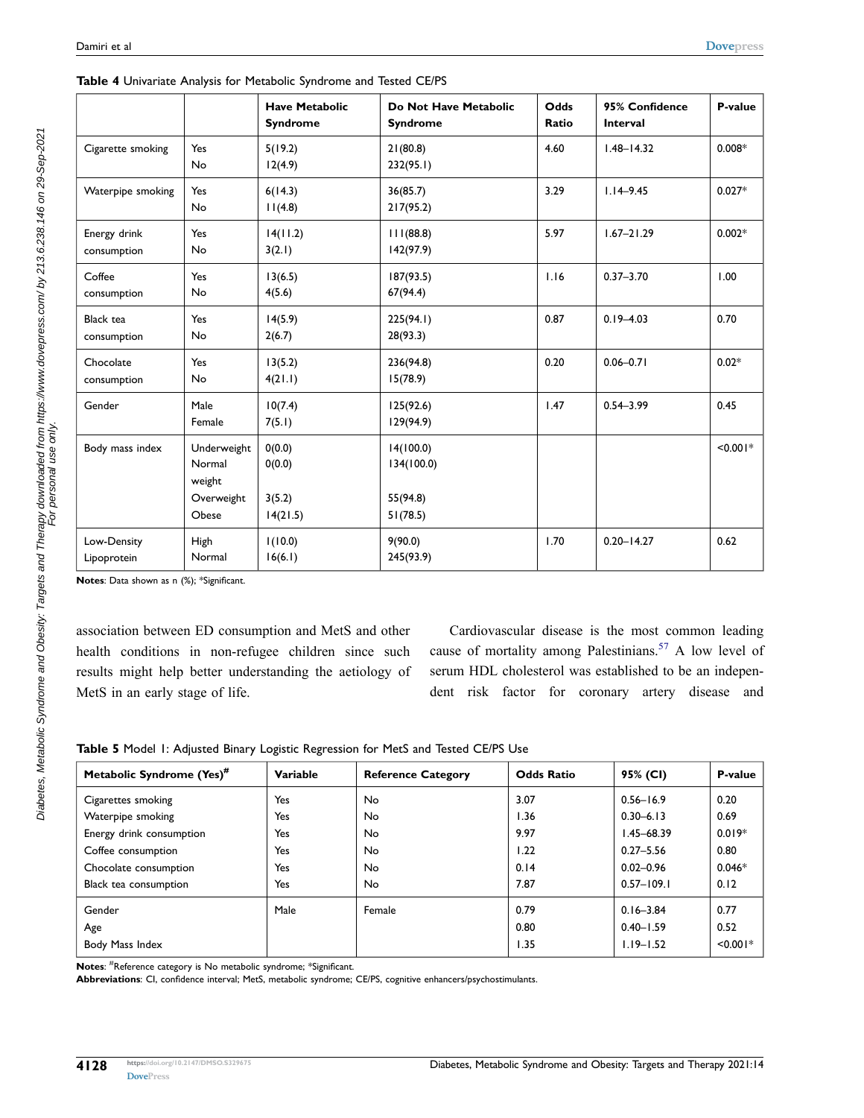|                             |                                                        | <b>Have Metabolic</b><br><b>Syndrome</b> | Do Not Have Metabolic<br><b>Syndrome</b>        | Odds<br>Ratio | 95% Confidence<br>Interval | P-value    |
|-----------------------------|--------------------------------------------------------|------------------------------------------|-------------------------------------------------|---------------|----------------------------|------------|
| Cigarette smoking           | Yes<br>No                                              | 5(19.2)<br>12(4.9)                       | 21(80.8)<br>232(95.1)                           | 4.60          | $1.48 - 14.32$             | $0.008*$   |
| Waterpipe smoking           | Yes<br>No                                              | 6(14.3)<br>11(4.8)                       | 36(85.7)<br>217(95.2)                           | 3.29          | $1.14 - 9.45$              | $0.027*$   |
| Energy drink<br>consumption | Yes<br>No                                              | 14(11.2)<br>3(2.1)                       | 11(88.8)<br>142(97.9)                           | 5.97          | $1.67 - 21.29$             | $0.002*$   |
| Coffee<br>consumption       | Yes<br>No                                              | 13(6.5)<br>4(5.6)                        | 187(93.5)<br>67(94.4)                           | 1.16          | $0.37 - 3.70$              | 1.00       |
| Black tea<br>consumption    | Yes<br>No                                              | 14(5.9)<br>2(6.7)                        | 225(94.1)<br>28(93.3)                           | 0.87          | $0.19 - 4.03$              | 0.70       |
| Chocolate<br>consumption    | Yes<br>No                                              | 13(5.2)<br>4(21.1)                       | 236(94.8)<br>15(78.9)                           | 0.20          | $0.06 - 0.71$              | $0.02*$    |
| Gender                      | Male<br>Female                                         | 10(7.4)<br>7(5.1)                        | 125(92.6)<br>129(94.9)                          | 1.47          | $0.54 - 3.99$              | 0.45       |
| Body mass index             | Underweight<br>Normal<br>weight<br>Overweight<br>Obese | 0(0.0)<br>0(0.0)<br>3(5.2)<br>14(21.5)   | 14(100.0)<br>134(100.0)<br>55(94.8)<br>51(78.5) |               |                            | $< 0.001*$ |
| Low-Density<br>Lipoprotein  | High<br>Normal                                         | 1(10.0)<br>16(6.1)                       | 9(90.0)<br>245(93.9)                            | 1.70          | $0.20 - 14.27$             | 0.62       |

<span id="page-7-0"></span>

|  |  | Table 4 Univariate Analysis for Metabolic Syndrome and Tested CE/PS |  |
|--|--|---------------------------------------------------------------------|--|
|  |  |                                                                     |  |

**Notes**: Data shown as n (%); \*Significant.

association between ED consumption and MetS and other health conditions in non-refugee children since such results might help better understanding the aetiology of MetS in an early stage of life.

<span id="page-7-2"></span>Cardiovascular disease is the most common leading cause of mortality among Palestinians.<sup>[57](#page-11-26)</sup> A low level of serum HDL cholesterol was established to be an independent risk factor for coronary artery disease and

<span id="page-7-1"></span>

|  | Table 5 Model 1: Adjusted Binary Logistic Regression for MetS and Tested CE/PS Use |  |  |  |  |  |
|--|------------------------------------------------------------------------------------|--|--|--|--|--|
|  |                                                                                    |  |  |  |  |  |

| Metabolic Syndrome (Yes) <sup>#</sup> | Variable | <b>Reference Category</b> | <b>Odds Ratio</b> | 95% (CI)       | P-value    |
|---------------------------------------|----------|---------------------------|-------------------|----------------|------------|
| Cigarettes smoking                    | Yes      | No.                       | 3.07              | $0.56 - 16.9$  | 0.20       |
| Waterpipe smoking                     | Yes      | No.                       | 1.36              | $0.30 - 6.13$  | 0.69       |
| Energy drink consumption              | Yes      | No.                       | 9.97              | $1.45 - 68.39$ | $0.019*$   |
| Coffee consumption                    | Yes      | No.                       | 1.22              | $0.27 - 5.56$  | 0.80       |
| Chocolate consumption                 | Yes      | No.                       | 0.14              | $0.02 - 0.96$  | $0.046*$   |
| Black tea consumption                 | Yes      | No.                       | 7.87              | $0.57 - 109.1$ | 0.12       |
| Gender                                | Male     | Female                    | 0.79              | $0.16 - 3.84$  | 0.77       |
| Age                                   |          |                           | 0.80              | $0.40 - 1.59$  | 0.52       |
| Body Mass Index                       |          |                           | 1.35              | $1.19 - 1.52$  | $< 0.001*$ |

**Notes**: # Reference category is No metabolic syndrome; \*Significant.

**Abbreviations**: CI, confidence interval; MetS, metabolic syndrome; CE/PS, cognitive enhancers/psychostimulants.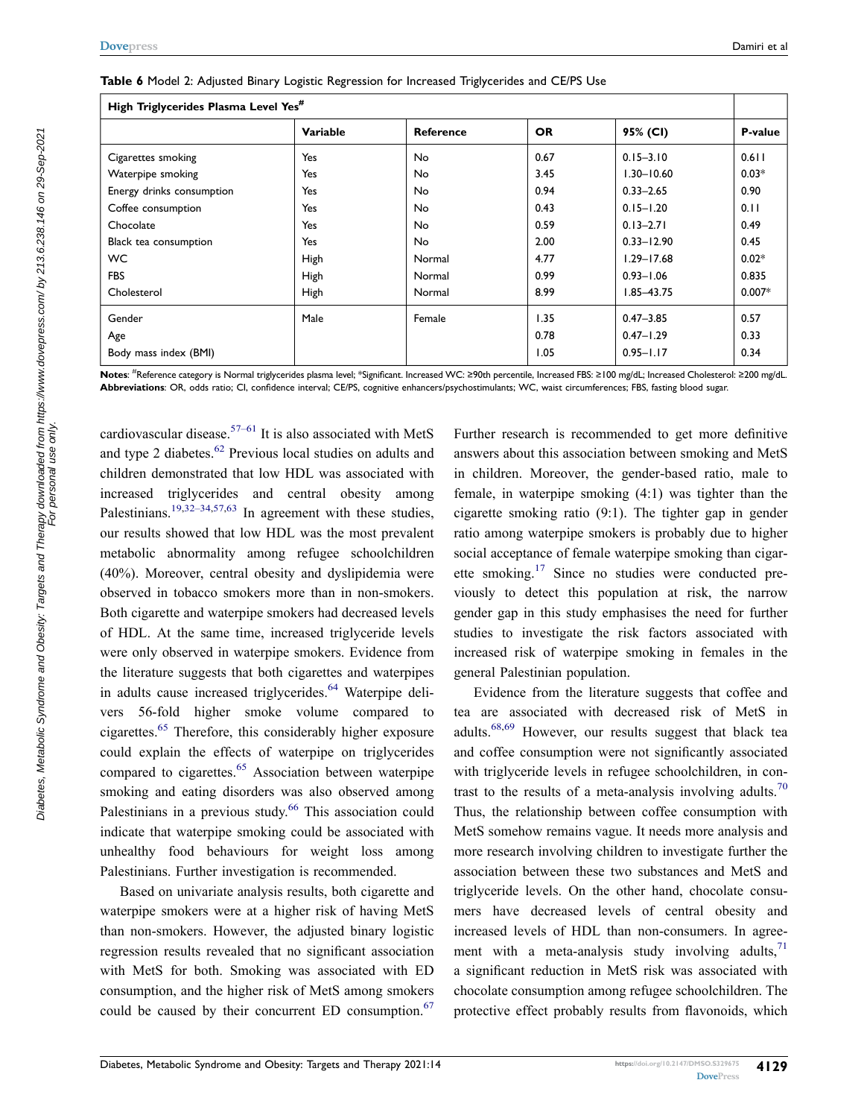| High Triglycerides Plasma Level Yes <sup>#</sup> |                 |                  |           |                |          |  |  |  |
|--------------------------------------------------|-----------------|------------------|-----------|----------------|----------|--|--|--|
|                                                  | <b>Variable</b> | <b>Reference</b> | <b>OR</b> | 95% (CI)       | P-value  |  |  |  |
| Cigarettes smoking                               | Yes             | No               | 0.67      | $0.15 - 3.10$  | 0.611    |  |  |  |
| Waterpipe smoking                                | Yes             | No               | 3.45      | $1.30 - 10.60$ | $0.03*$  |  |  |  |
| Energy drinks consumption                        | Yes             | No               | 0.94      | $0.33 - 2.65$  | 0.90     |  |  |  |
| Coffee consumption                               | Yes             | No               | 0.43      | $0.15 - 1.20$  | 0.11     |  |  |  |
| Chocolate                                        | Yes             | No               | 0.59      | $0.13 - 2.71$  | 0.49     |  |  |  |
| Black tea consumption                            | Yes             | <b>No</b>        | 2.00      | $0.33 - 12.90$ | 0.45     |  |  |  |
| <b>WC</b>                                        | High            | Normal           | 4.77      | $1.29 - 17.68$ | $0.02*$  |  |  |  |
| <b>FBS</b>                                       | High            | Normal           | 0.99      | $0.93 - 1.06$  | 0.835    |  |  |  |
| Cholesterol                                      | High            | Normal           | 8.99      | 1.85-43.75     | $0.007*$ |  |  |  |
| Gender                                           | Male            | Female           | 1.35      | $0.47 - 3.85$  | 0.57     |  |  |  |
| Age                                              |                 |                  | 0.78      | $0.47 - 1.29$  | 0.33     |  |  |  |
| Body mass index (BMI)                            |                 |                  | 1.05      | $0.95 - 1.17$  | 0.34     |  |  |  |

<span id="page-8-0"></span>**Table 6** Model 2: Adjusted Binary Logistic Regression for Increased Triglycerides and CE/PS Use

**Notes**: # Reference category is Normal triglycerides plasma level; \*Significant. Increased WC: ≥90th percentile, Increased FBS: ≥100 mg/dL; Increased Cholesterol: ≥200 mg/dL. **Abbreviations**: OR, odds ratio; CI, confidence interval; CE/PS, cognitive enhancers/psychostimulants; WC, waist circumferences; FBS, fasting blood sugar.

<span id="page-8-2"></span><span id="page-8-1"></span>cardiovascular disease.<sup>[57–61](#page-11-26)</sup> It is also associated with MetS and type 2 diabetes.<sup>[62](#page-12-0)</sup> Previous local studies on adults and children demonstrated that low HDL was associated with increased triglycerides and central obesity among Palestinians.<sup>[19,](#page-10-15)[32–34](#page-11-6)[,57,](#page-11-26)[63](#page-12-1)</sup> In agreement with these studies, our results showed that low HDL was the most prevalent metabolic abnormality among refugee schoolchildren (40%). Moreover, central obesity and dyslipidemia were observed in tobacco smokers more than in non-smokers. Both cigarette and waterpipe smokers had decreased levels of HDL. At the same time, increased triglyceride levels were only observed in waterpipe smokers. Evidence from the literature suggests that both cigarettes and waterpipes in adults cause increased triglycerides.<sup>64</sup> Waterpipe delivers 56-fold higher smoke volume compared to cigarettes.[65](#page-12-3) Therefore, this considerably higher exposure could explain the effects of waterpipe on triglycerides compared to cigarettes.<sup>[65](#page-12-3)</sup> Association between waterpipe smoking and eating disorders was also observed among Palestinians in a previous study.<sup>66</sup> This association could indicate that waterpipe smoking could be associated with unhealthy food behaviours for weight loss among Palestinians. Further investigation is recommended.

<span id="page-8-6"></span><span id="page-8-5"></span><span id="page-8-4"></span><span id="page-8-3"></span>Based on univariate analysis results, both cigarette and waterpipe smokers were at a higher risk of having MetS than non-smokers. However, the adjusted binary logistic regression results revealed that no significant association with MetS for both. Smoking was associated with ED consumption, and the higher risk of MetS among smokers could be caused by their concurrent ED consumption.<sup>67</sup>

Further research is recommended to get more definitive answers about this association between smoking and MetS in children. Moreover, the gender-based ratio, male to female, in waterpipe smoking (4:1) was tighter than the cigarette smoking ratio (9:1). The tighter gap in gender ratio among waterpipe smokers is probably due to higher social acceptance of female waterpipe smoking than cigarette smoking.[17](#page-10-12) Since no studies were conducted previously to detect this population at risk, the narrow gender gap in this study emphasises the need for further studies to investigate the risk factors associated with increased risk of waterpipe smoking in females in the general Palestinian population.

<span id="page-8-9"></span><span id="page-8-8"></span><span id="page-8-7"></span>Evidence from the literature suggests that coffee and tea are associated with decreased risk of MetS in adults[.68](#page-12-6)[,69](#page-12-7) However, our results suggest that black tea and coffee consumption were not significantly associated with triglyceride levels in refugee schoolchildren, in con-trast to the results of a meta-analysis involving adults.<sup>[70](#page-12-8)</sup> Thus, the relationship between coffee consumption with MetS somehow remains vague. It needs more analysis and more research involving children to investigate further the association between these two substances and MetS and triglyceride levels. On the other hand, chocolate consumers have decreased levels of central obesity and increased levels of HDL than non-consumers. In agreement with a meta-analysis study involving adults, $<sup>71</sup>$  $<sup>71</sup>$  $<sup>71</sup>$ </sup> a significant reduction in MetS risk was associated with chocolate consumption among refugee schoolchildren. The protective effect probably results from flavonoids, which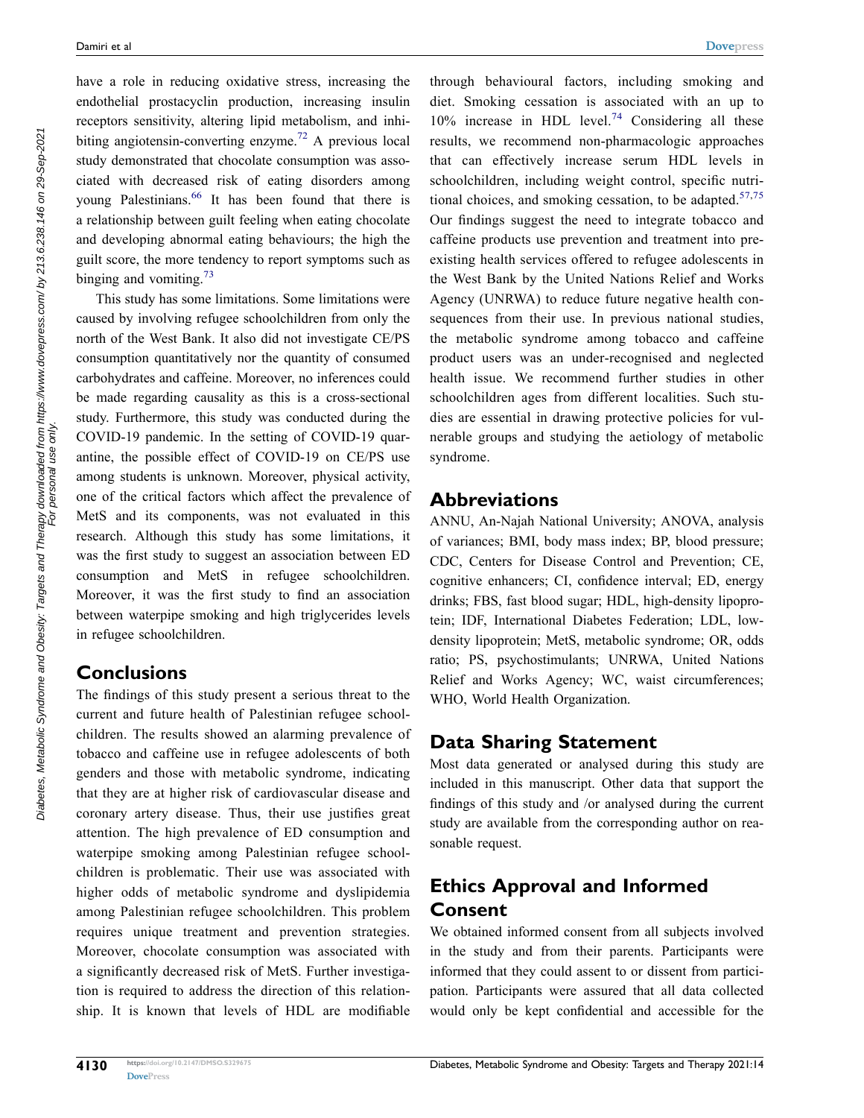<span id="page-9-0"></span>have a role in reducing oxidative stress, increasing the endothelial prostacyclin production, increasing insulin receptors sensitivity, altering lipid metabolism, and inhi-biting angiotensin-converting enzyme.<sup>[72](#page-12-10)</sup> A previous local study demonstrated that chocolate consumption was associated with decreased risk of eating disorders among young Palestinians.<sup>[66](#page-12-4)</sup> It has been found that there is a relationship between guilt feeling when eating chocolate and developing abnormal eating behaviours; the high the guilt score, the more tendency to report symptoms such as binging and vomiting.<sup>73</sup>

<span id="page-9-1"></span>This study has some limitations. Some limitations were caused by involving refugee schoolchildren from only the north of the West Bank. It also did not investigate CE/PS consumption quantitatively nor the quantity of consumed carbohydrates and caffeine. Moreover, no inferences could be made regarding causality as this is a cross-sectional study. Furthermore, this study was conducted during the COVID-19 pandemic. In the setting of COVID-19 quarantine, the possible effect of COVID-19 on CE/PS use among students is unknown. Moreover, physical activity, one of the critical factors which affect the prevalence of MetS and its components, was not evaluated in this research. Although this study has some limitations, it was the first study to suggest an association between ED consumption and MetS in refugee schoolchildren. Moreover, it was the first study to find an association between waterpipe smoking and high triglycerides levels in refugee schoolchildren.

### **Conclusions**

The findings of this study present a serious threat to the current and future health of Palestinian refugee schoolchildren. The results showed an alarming prevalence of tobacco and caffeine use in refugee adolescents of both genders and those with metabolic syndrome, indicating that they are at higher risk of cardiovascular disease and coronary artery disease. Thus, their use justifies great attention. The high prevalence of ED consumption and waterpipe smoking among Palestinian refugee schoolchildren is problematic. Their use was associated with higher odds of metabolic syndrome and dyslipidemia among Palestinian refugee schoolchildren. This problem requires unique treatment and prevention strategies. Moreover, chocolate consumption was associated with a significantly decreased risk of MetS. Further investigation is required to address the direction of this relationship. It is known that levels of HDL are modifiable

<span id="page-9-3"></span><span id="page-9-2"></span>through behavioural factors, including smoking and diet. Smoking cessation is associated with an up to  $10\%$  increase in HDL level.<sup>[74](#page-12-12)</sup> Considering all these results, we recommend non-pharmacologic approaches that can effectively increase serum HDL levels in schoolchildren, including weight control, specific nutritional choices, and smoking cessation, to be adapted. $57,75$  $57,75$ Our findings suggest the need to integrate tobacco and caffeine products use prevention and treatment into preexisting health services offered to refugee adolescents in the West Bank by the United Nations Relief and Works Agency (UNRWA) to reduce future negative health consequences from their use. In previous national studies, the metabolic syndrome among tobacco and caffeine product users was an under-recognised and neglected health issue. We recommend further studies in other schoolchildren ages from different localities. Such studies are essential in drawing protective policies for vulnerable groups and studying the aetiology of metabolic syndrome.

### **Abbreviations**

ANNU, An-Najah National University; ANOVA, analysis of variances; BMI, body mass index; BP, blood pressure; CDC, Centers for Disease Control and Prevention; CE, cognitive enhancers; CI, confidence interval; ED, energy drinks; FBS, fast blood sugar; HDL, high-density lipoprotein; IDF, International Diabetes Federation; LDL, lowdensity lipoprotein; MetS, metabolic syndrome; OR, odds ratio; PS, psychostimulants; UNRWA, United Nations Relief and Works Agency; WC, waist circumferences; WHO, World Health Organization.

# **Data Sharing Statement**

Most data generated or analysed during this study are included in this manuscript. Other data that support the findings of this study and /or analysed during the current study are available from the corresponding author on reasonable request.

# **Ethics Approval and Informed Consent**

We obtained informed consent from all subjects involved in the study and from their parents. Participants were informed that they could assent to or dissent from participation. Participants were assured that all data collected would only be kept confidential and accessible for the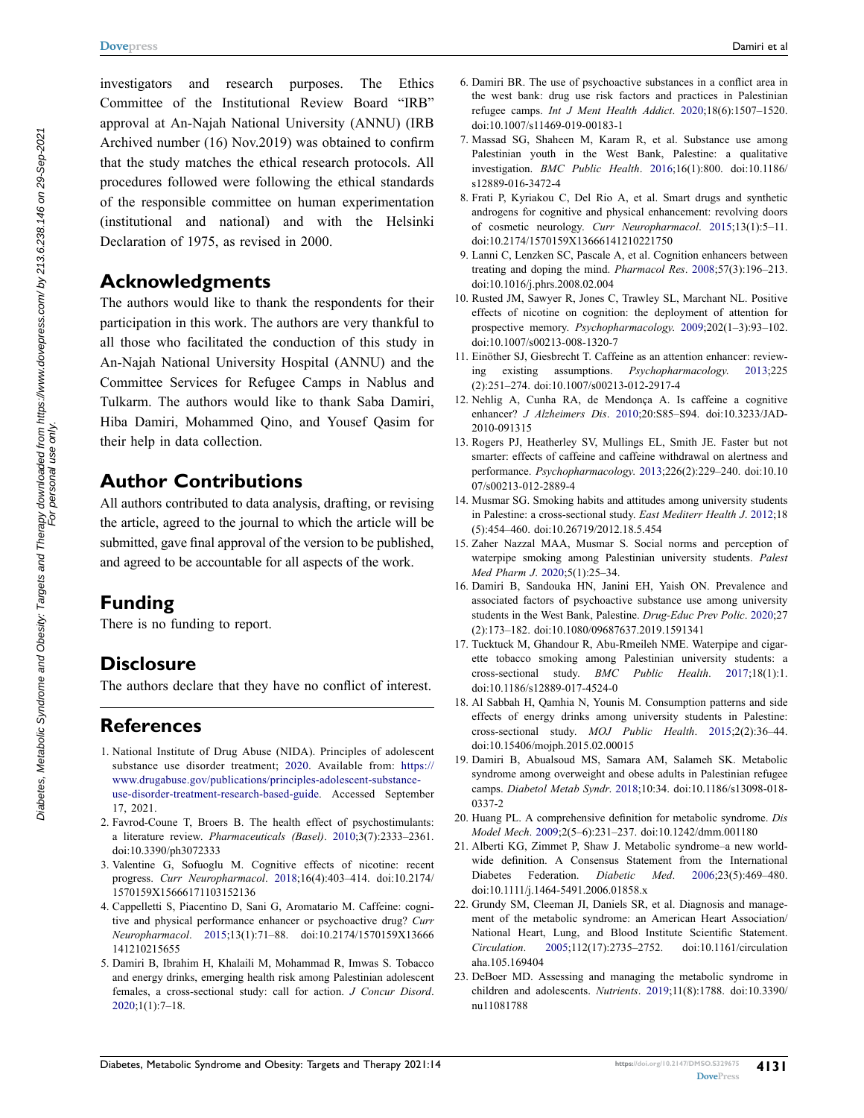investigators and research purposes. The Ethics Committee of the Institutional Review Board "IRB" approval at An-Najah National University (ANNU) (IRB Archived number (16) Nov.2019) was obtained to confirm that the study matches the ethical research protocols. All procedures followed were following the ethical standards of the responsible committee on human experimentation (institutional and national) and with the Helsinki Declaration of 1975, as revised in 2000.

#### **Acknowledgments**

The authors would like to thank the respondents for their participation in this work. The authors are very thankful to all those who facilitated the conduction of this study in An-Najah National University Hospital (ANNU) and the Committee Services for Refugee Camps in Nablus and Tulkarm. The authors would like to thank Saba Damiri, Hiba Damiri, Mohammed Qino, and Yousef Qasim for their help in data collection.

#### **Author Contributions**

All authors contributed to data analysis, drafting, or revising the article, agreed to the journal to which the article will be submitted, gave final approval of the version to be published, and agreed to be accountable for all aspects of the work.

#### **Funding**

There is no funding to report.

#### **Disclosure**

The authors declare that they have no conflict of interest.

#### **References**

- <span id="page-10-0"></span>1. National Institute of Drug Abuse (NIDA). Principles of adolescent substance use disorder treatment; [2020.](#page-1-0) Available from: [https://](https://www.drugabuse.gov/publications/principles-adolescent-substance-use-disorder-treatment-research-based-guide)  [www.drugabuse.gov/publications/principles-adolescent-substance](https://www.drugabuse.gov/publications/principles-adolescent-substance-use-disorder-treatment-research-based-guide)[use-disorder-treatment-research-based-guide](https://www.drugabuse.gov/publications/principles-adolescent-substance-use-disorder-treatment-research-based-guide). Accessed September 17, 2021.
- <span id="page-10-1"></span>2. Favrod-Coune T, Broers B. The health effect of psychostimulants: a literature review. *Pharmaceuticals (Basel)*. [2010;](#page-1-1)3(7):2333–2361. doi:[10.3390/ph3072333](https://doi.org/10.3390/ph3072333)
- <span id="page-10-5"></span>3. Valentine G, Sofuoglu M. Cognitive effects of nicotine: recent progress. *Curr Neuropharmacol*. [2018;](#page-1-2)16(4):403–414. doi:[10.2174/](https://doi.org/10.2174/1570159X15666171103152136)  [1570159X15666171103152136](https://doi.org/10.2174/1570159X15666171103152136)
- <span id="page-10-8"></span>4. Cappelletti S, Piacentino D, Sani G, Aromatario M. Caffeine: cognitive and physical performance enhancer or psychoactive drug? *Curr Neuropharmacol*. [2015;](#page-1-1)13(1):71–88. doi:[10.2174/1570159X13666](https://doi.org/10.2174/1570159X13666141210215655)  [141210215655](https://doi.org/10.2174/1570159X13666141210215655)
- <span id="page-10-2"></span>5. Damiri B, Ibrahim H, Khalaili M, Mohammad R, Imwas S. Tobacco and energy drinks, emerging health risk among Palestinian adolescent females, a cross-sectional study: call for action. *J Concur Disord*.  $2020;1(1):7-18.$  $2020;1(1):7-18.$
- <span id="page-10-9"></span>6. Damiri BR. The use of psychoactive substances in a conflict area in the west bank: drug use risk factors and practices in Palestinian refugee camps. *Int J Ment Health Addict*. [2020;](#page-1-4)18(6):1507–1520. doi:[10.1007/s11469-019-00183-1](https://doi.org/10.1007/s11469-019-00183-1)
- <span id="page-10-10"></span>7. Massad SG, Shaheen M, Karam R, et al. Substance use among Palestinian youth in the West Bank, Palestine: a qualitative investigation. *BMC Public Health*. [2016;](#page-1-5)16(1):800. doi:[10.1186/](https://doi.org/10.1186/s12889-016-3472-4) [s12889-016-3472-4](https://doi.org/10.1186/s12889-016-3472-4)
- <span id="page-10-3"></span>8. Frati P, Kyriakou C, Del Rio A, et al. Smart drugs and synthetic androgens for cognitive and physical enhancement: revolving doors of cosmetic neurology. *Curr Neuropharmacol*. [2015;](#page-1-6)13(1):5–11. doi:[10.2174/1570159X13666141210221750](https://doi.org/10.2174/1570159X13666141210221750)
- <span id="page-10-4"></span>9. Lanni C, Lenzken SC, Pascale A, et al. Cognition enhancers between treating and doping the mind. *Pharmacol Res*. [2008;](#page-1-6)57(3):196–213. doi:[10.1016/j.phrs.2008.02.004](https://doi.org/10.1016/j.phrs.2008.02.004)
- <span id="page-10-6"></span>10. Rusted JM, Sawyer R, Jones C, Trawley SL, Marchant NL. Positive effects of nicotine on cognition: the deployment of attention for prospective memory. *Psychopharmacology*. [2009;](#page-1-2)202(1–3):93–102. doi:[10.1007/s00213-008-1320-7](https://doi.org/10.1007/s00213-008-1320-7)
- <span id="page-10-7"></span>11. Einöther SJ, Giesbrecht T. Caffeine as an attention enhancer: reviewing existing assumptions. *Psychopharmacology*. [2013](#page-1-7);225 (2):251–274. doi:[10.1007/s00213-012-2917-4](https://doi.org/10.1007/s00213-012-2917-4)
- 12. Nehlig A, Cunha RA, de Mendonça A. Is caffeine a cognitive enhancer? *J Alzheimers Dis*. 2010;20:S85–S94. doi:[10.3233/JAD-](https://doi.org/10.3233/JAD-2010-091315)[2010-091315](https://doi.org/10.3233/JAD-2010-091315)
- 13. Rogers PJ, Heatherley SV, Mullings EL, Smith JE. Faster but not smarter: effects of caffeine and caffeine withdrawal on alertness and performance. *Psychopharmacology*. 2013;226(2):229–240. doi:[10.10](https://doi.org/10.1007/s00213-012-2889-4) [07/s00213-012-2889-4](https://doi.org/10.1007/s00213-012-2889-4)
- <span id="page-10-11"></span>14. Musmar SG. Smoking habits and attitudes among university students in Palestine: a cross-sectional study. *East Mediterr Health J*. [2012](#page-1-8);18 (5):454–460. doi:[10.26719/2012.18.5.454](https://doi.org/10.26719/2012.18.5.454)
- <span id="page-10-20"></span>15. Zaher Nazzal MAA, Musmar S. Social norms and perception of waterpipe smoking among Palestinian university students. *Palest Med Pharm J*. [2020;](#page-4-1)5(1):25–34.
- <span id="page-10-13"></span>16. Damiri B, Sandouka HN, Janini EH, Yaish ON. Prevalence and associated factors of psychoactive substance use among university students in the West Bank, Palestine. *Drug-Educ Prev Polic*. [2020](#page-1-9);27 (2):173–182. doi:[10.1080/09687637.2019.1591341](https://doi.org/10.1080/09687637.2019.1591341)
- <span id="page-10-12"></span>17. Tucktuck M, Ghandour R, Abu-Rmeileh NME. Waterpipe and cigarette tobacco smoking among Palestinian university students: a cross-sectional study. *BMC Public Health*. [2017;](#page-1-3)18(1):1. doi:[10.1186/s12889-017-4524-0](https://doi.org/10.1186/s12889-017-4524-0)
- <span id="page-10-14"></span>18. Al Sabbah H, Qamhia N, Younis M. Consumption patterns and side effects of energy drinks among university students in Palestine: cross-sectional study. *MOJ Public Health*. [2015;](#page-1-9)2(2):36–44. doi:[10.15406/mojph.2015.02.00015](https://doi.org/10.15406/mojph.2015.02.00015)
- <span id="page-10-15"></span>19. Damiri B, Abualsoud MS, Samara AM, Salameh SK. Metabolic syndrome among overweight and obese adults in Palestinian refugee camps. *Diabetol Metab Syndr*. [2018](#page-1-10);10:34. doi:[10.1186/s13098-018-](https://doi.org/10.1186/s13098-018-0337-2) [0337-2](https://doi.org/10.1186/s13098-018-0337-2)
- <span id="page-10-16"></span>20. Huang PL. A comprehensive definition for metabolic syndrome. *Dis Model Mech*. [2009;](#page-1-11)2(5–6):231–237. doi:[10.1242/dmm.001180](https://doi.org/10.1242/dmm.001180)
- <span id="page-10-17"></span>21. Alberti KG, Zimmet P, Shaw J. Metabolic syndrome–a new worldwide definition. A Consensus Statement from the International Diabetes Federation. *Diabetic Med*. [2006;](#page-1-11)23(5):469–480. doi:[10.1111/j.1464-5491.2006.01858.x](https://doi.org/10.1111/j.1464-5491.2006.01858.x)
- <span id="page-10-18"></span>22. Grundy SM, Cleeman JI, Daniels SR, et al. Diagnosis and management of the metabolic syndrome: an American Heart Association/ National Heart, Lung, and Blood Institute Scientific Statement. *Circulation*. [2005;](#page-1-12)112(17):2735–2752. doi:[10.1161/circulation](https://doi.org/10.1161/circulationaha.105.169404) [aha.105.169404](https://doi.org/10.1161/circulationaha.105.169404)
- <span id="page-10-19"></span>23. DeBoer MD. Assessing and managing the metabolic syndrome in children and adolescents. *Nutrients*. [2019](#page-1-13);11(8):1788. doi:[10.3390/](https://doi.org/10.3390/nu11081788) [nu11081788](https://doi.org/10.3390/nu11081788)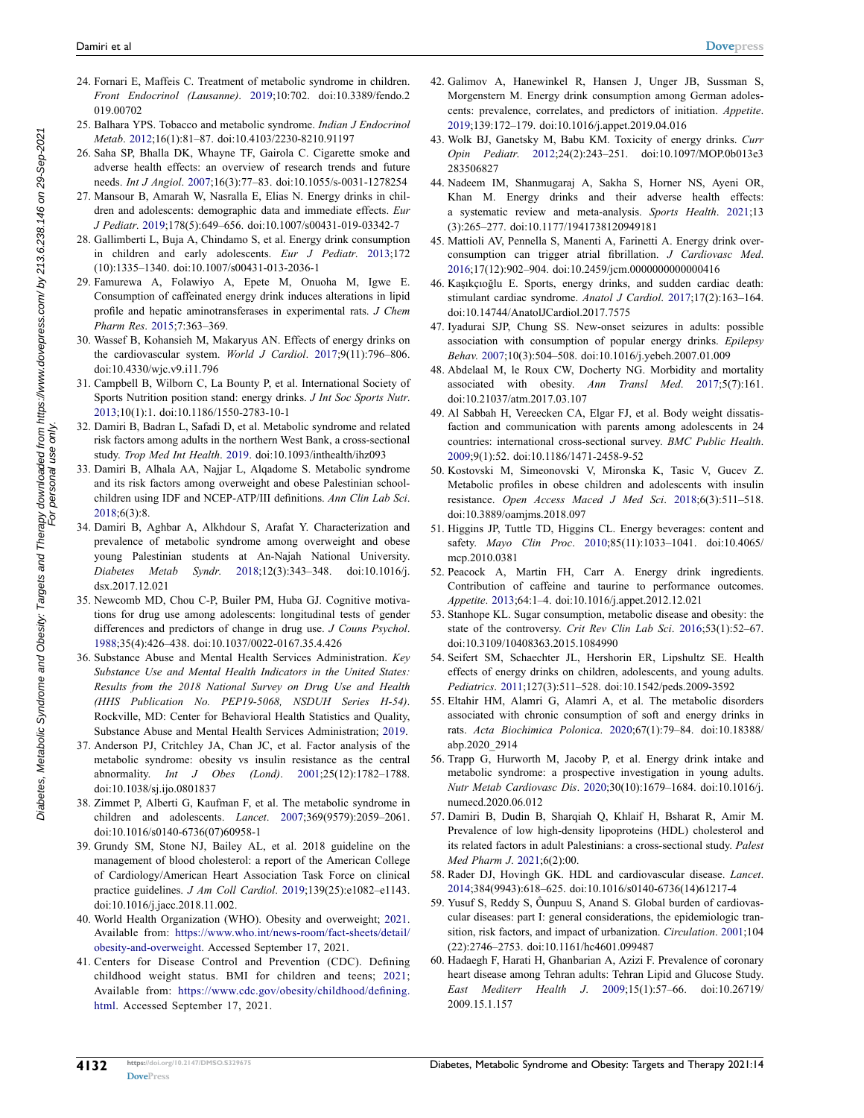- <span id="page-11-1"></span>24. Fornari E, Maffeis C. Treatment of metabolic syndrome in children. *Front Endocrinol (Lausanne)*. [2019](#page-1-13);10:702. doi:[10.3389/fendo.2](https://doi.org/10.3389/fendo.2019.00702)  [019.00702](https://doi.org/10.3389/fendo.2019.00702)
- <span id="page-11-2"></span>25. Balhara YPS. Tobacco and metabolic syndrome. *Indian J Endocrinol Metab*. [2012;](#page-1-14)16(1):81–87. doi:[10.4103/2230-8210.91197](https://doi.org/10.4103/2230-8210.91197)
- <span id="page-11-3"></span>26. Saha SP, Bhalla DK, Whayne TF, Gairola C. Cigarette smoke and adverse health effects: an overview of research trends and future needs. *Int J Angiol*. [2007](#page-1-14);16(3):77–83. doi:[10.1055/s-0031-1278254](https://doi.org/10.1055/s-0031-1278254)
- <span id="page-11-4"></span>27. Mansour B, Amarah W, Nasralla E, Elias N. Energy drinks in children and adolescents: demographic data and immediate effects. *Eur J Pediatr*. [2019](#page-1-15);178(5):649–656. doi:[10.1007/s00431-019-03342-7](https://doi.org/10.1007/s00431-019-03342-7)
- <span id="page-11-14"></span>28. Gallimberti L, Buja A, Chindamo S, et al. Energy drink consumption in children and early adolescents. *Eur J Pediatr*. [2013](#page-5-1);172 (10):1335–1340. doi:[10.1007/s00431-013-2036-1](https://doi.org/10.1007/s00431-013-2036-1)
- 29. Famurewa A, Folawiyo A, Epete M, Onuoha M, Igwe E. Consumption of caffeinated energy drink induces alterations in lipid profile and hepatic aminotransferases in experimental rats. *J Chem Pharm Res*. 2015;7:363–369.
- 30. Wassef B, Kohansieh M, Makaryus AN. Effects of energy drinks on the cardiovascular system. *World J Cardiol*. 2017;9(11):796–806. doi:[10.4330/wjc.v9.i11.796](https://doi.org/10.4330/wjc.v9.i11.796)
- <span id="page-11-5"></span>31. Campbell B, Wilborn C, La Bounty P, et al. International Society of Sports Nutrition position stand: energy drinks. *J Int Soc Sports Nutr*. [2013;](#page-1-16)10(1):1. doi:[10.1186/1550-2783-10-1](https://doi.org/10.1186/1550-2783-10-1)
- <span id="page-11-6"></span>32. Damiri B, Badran L, Safadi D, et al. Metabolic syndrome and related risk factors among adults in the northern West Bank, a cross-sectional study. *Trop Med Int Health*. [2019](#page-1-10). doi:[10.1093/inthealth/ihz093](https://doi.org/10.1093/inthealth/ihz093)
- <span id="page-11-7"></span>33. Damiri B, Alhala AA, Najjar L, Alqadome S. Metabolic syndrome and its risk factors among overweight and obese Palestinian schoolchildren using IDF and NCEP-ATP/III definitions. *Ann Clin Lab Sci*. [2018;](#page-1-17)6(3):8.
- 34. Damiri B, Aghbar A, Alkhdour S, Arafat Y. Characterization and prevalence of metabolic syndrome among overweight and obese young Palestinian students at An-Najah National University. *Diabetes Metab Syndr*. 2018;12(3):343–348. doi:[10.1016/j.](https://doi.org/10.1016/j.dsx.2017.12.021)  [dsx.2017.12.021](https://doi.org/10.1016/j.dsx.2017.12.021)
- <span id="page-11-8"></span>35. Newcomb MD, Chou C-P, Builer PM, Huba GJ. Cognitive motivations for drug use among adolescents: longitudinal tests of gender differences and predictors of change in drug use. *J Couns Psychol*. [1988;](#page-2-0)35(4):426–438. doi:[10.1037/0022-0167.35.4.426](https://doi.org/10.1037/0022-0167.35.4.426)
- <span id="page-11-9"></span>36. Substance Abuse and Mental Health Services Administration. *Key Substance Use and Mental Health Indicators in the United States: Results from the 2018 National Survey on Drug Use and Health (HHS Publication No. PEP19-5068, NSDUH Series H-54)*. Rockville, MD: Center for Behavioral Health Statistics and Quality, Substance Abuse and Mental Health Services Administration; [2019](#page-2-1).
- <span id="page-11-10"></span>37. Anderson PJ, Critchley JA, Chan JC, et al. Factor analysis of the metabolic syndrome: obesity vs insulin resistance as the central abnormality. *Int J Obes (Lond)*. [2001;](#page-2-2)25(12):1782–1788. doi:[10.1038/sj.ijo.0801837](https://doi.org/10.1038/sj.ijo.0801837)
- <span id="page-11-11"></span>38. Zimmet P, Alberti G, Kaufman F, et al. The metabolic syndrome in children and adolescents. *Lancet*. [2007;](#page-2-3)369(9579):2059–2061. doi:[10.1016/s0140-6736\(07\)60958-1](https://doi.org/10.1016/s0140-6736(07)60958-1)
- <span id="page-11-0"></span>39. Grundy SM, Stone NJ, Bailey AL, et al. 2018 guideline on the management of blood cholesterol: a report of the American College of Cardiology/American Heart Association Task Force on clinical practice guidelines. *J Am Coll Cardiol*. [2019](#page-1-18);139(25):e1082–e1143. doi:[10.1016/j.jacc.2018.11.002](https://doi.org/10.1016/j.jacc.2018.11.002).
- <span id="page-11-12"></span>40. World Health Organization (WHO). Obesity and overweight; [2021.](#page-2-4) Available from: [https://www.who.int/news-room/fact-sheets/detail/](https://www.who.int/news-room/fact-sheets/detail/obesity-and-overweight)  [obesity-and-overweight.](https://www.who.int/news-room/fact-sheets/detail/obesity-and-overweight) Accessed September 17, 2021.
- <span id="page-11-13"></span>41. Centers for Disease Control and Prevention (CDC). Defining childhood weight status. BMI for children and teens; [2021](#page-2-5); Available from: [https://www.cdc.gov/obesity/childhood/defining.](https://www.cdc.gov/obesity/childhood/defining.html)  [html](https://www.cdc.gov/obesity/childhood/defining.html). Accessed September 17, 2021.
- <span id="page-11-15"></span>42. Galimov A, Hanewinkel R, Hansen J, Unger JB, Sussman S, Morgenstern M. Energy drink consumption among German adolescents: prevalence, correlates, and predictors of initiation. *Appetite*. [2019](#page-5-1);139:172–179. doi:[10.1016/j.appet.2019.04.016](https://doi.org/10.1016/j.appet.2019.04.016)
- <span id="page-11-16"></span>43. Wolk BJ, Ganetsky M, Babu KM. Toxicity of energy drinks. *Curr Opin Pediatr*. [2012;](#page-5-2)24(2):243–251. doi:[10.1097/MOP.0b013e3](https://doi.org/10.1097/MOP.0b013e3283506827) [283506827](https://doi.org/10.1097/MOP.0b013e3283506827)
- 44. Nadeem IM, Shanmugaraj A, Sakha S, Horner NS, Ayeni OR, Khan M. Energy drinks and their adverse health effects: a systematic review and meta-analysis. *Sports Health*. 2021;13 (3):265–277. doi:[10.1177/1941738120949181](https://doi.org/10.1177/1941738120949181)
- 45. Mattioli AV, Pennella S, Manenti A, Farinetti A. Energy drink overconsumption can trigger atrial fibrillation. *J Cardiovasc Med*. 2016;17(12):902–904. doi:[10.2459/jcm.0000000000000416](https://doi.org/10.2459/jcm.0000000000000416)
- 46. Kaşıkçıoğlu E. Sports, energy drinks, and sudden cardiac death: stimulant cardiac syndrome. *Anatol J Cardiol*. 2017;17(2):163–164. doi:[10.14744/AnatolJCardiol.2017.7575](https://doi.org/10.14744/AnatolJCardiol.2017.7575)
- 47. Iyadurai SJP, Chung SS. New-onset seizures in adults: possible association with consumption of popular energy drinks. *Epilepsy Behav*. 2007;10(3):504–508. doi:[10.1016/j.yebeh.2007.01.009](https://doi.org/10.1016/j.yebeh.2007.01.009)
- <span id="page-11-17"></span>48. Abdelaal M, le Roux CW, Docherty NG. Morbidity and mortality associated with obesity. *Ann Transl Med*. [2017;](#page-5-3)5(7):161. doi:[10.21037/atm.2017.03.107](https://doi.org/10.21037/atm.2017.03.107)
- <span id="page-11-18"></span>49. Al Sabbah H, Vereecken CA, Elgar FJ, et al. Body weight dissatisfaction and communication with parents among adolescents in 24 countries: international cross-sectional survey. *BMC Public Health*. [2009](#page-5-4);9(1):52. doi:[10.1186/1471-2458-9-52](https://doi.org/10.1186/1471-2458-9-52)
- <span id="page-11-19"></span>50. Kostovski M, Simeonovski V, Mironska K, Tasic V, Gucev Z. Metabolic profiles in obese children and adolescents with insulin resistance. *Open Access Maced J Med Sci*. [2018;](#page-5-5)6(3):511–518. doi:[10.3889/oamjms.2018.097](https://doi.org/10.3889/oamjms.2018.097)
- <span id="page-11-20"></span>51. Higgins JP, Tuttle TD, Higgins CL. Energy beverages: content and safety. *Mayo Clin Proc*. [2010](#page-5-6);85(11):1033–1041. doi:[10.4065/](https://doi.org/10.4065/mcp.2010.0381) [mcp.2010.0381](https://doi.org/10.4065/mcp.2010.0381)
- <span id="page-11-21"></span>52. Peacock A, Martin FH, Carr A. Energy drink ingredients. Contribution of caffeine and taurine to performance outcomes. *Appetite*. [2013;](#page-5-7)64:1–4. doi:[10.1016/j.appet.2012.12.021](https://doi.org/10.1016/j.appet.2012.12.021)
- <span id="page-11-22"></span>53. Stanhope KL. Sugar consumption, metabolic disease and obesity: the state of the controversy. *Crit Rev Clin Lab Sci*. [2016;](#page-5-6)53(1):52–67. doi:[10.3109/10408363.2015.1084990](https://doi.org/10.3109/10408363.2015.1084990)
- <span id="page-11-23"></span>54. Seifert SM, Schaechter JL, Hershorin ER, Lipshultz SE. Health effects of energy drinks on children, adolescents, and young adults. *Pediatrics*. [2011;](#page-6-1)127(3):511–528. doi:[10.1542/peds.2009-3592](https://doi.org/10.1542/peds.2009-3592)
- <span id="page-11-24"></span>55. Eltahir HM, Alamri G, Alamri A, et al. The metabolic disorders associated with chronic consumption of soft and energy drinks in rats. *Acta Biochimica Polonica*. [2020](#page-6-2);67(1):79–84. doi:[10.18388/](https://doi.org/10.18388/abp.2020_2914) [abp.2020\\_2914](https://doi.org/10.18388/abp.2020_2914)
- <span id="page-11-25"></span>56. Trapp G, Hurworth M, Jacoby P, et al. Energy drink intake and metabolic syndrome: a prospective investigation in young adults. *Nutr Metab Cardiovasc Dis*. [2020;](#page-6-3)30(10):1679–1684. doi:[10.1016/j.](https://doi.org/10.1016/j.numecd.2020.06.012) [numecd.2020.06.012](https://doi.org/10.1016/j.numecd.2020.06.012)
- <span id="page-11-26"></span>57. Damiri B, Dudin B, Sharqiah Q, Khlaif H, Bsharat R, Amir M. Prevalence of low high-density lipoproteins (HDL) cholesterol and its related factors in adult Palestinians: a cross-sectional study. *Palest Med Pharm J*. [2021;](#page-7-2)6(2):00.
- 58. Rader DJ, Hovingh GK. HDL and cardiovascular disease. *Lancet*. 2014;384(9943):618–625. doi:[10.1016/s0140-6736\(14\)61217-4](https://doi.org/10.1016/s0140-6736(14)61217-4)
- 59. Yusuf S, Reddy S, Ôunpuu S, Anand S. Global burden of cardiovascular diseases: part I: general considerations, the epidemiologic transition, risk factors, and impact of urbanization. *Circulation*. 2001;104 (22):2746–2753. doi:[10.1161/hc4601.099487](https://doi.org/10.1161/hc4601.099487)
- 60. Hadaegh F, Harati H, Ghanbarian A, Azizi F. Prevalence of coronary heart disease among Tehran adults: Tehran Lipid and Glucose Study. *East Mediterr Health J*. 2009;15(1):57–66. doi:[10.26719/](https://doi.org/10.26719/2009.15.1.157) [2009.15.1.157](https://doi.org/10.26719/2009.15.1.157)